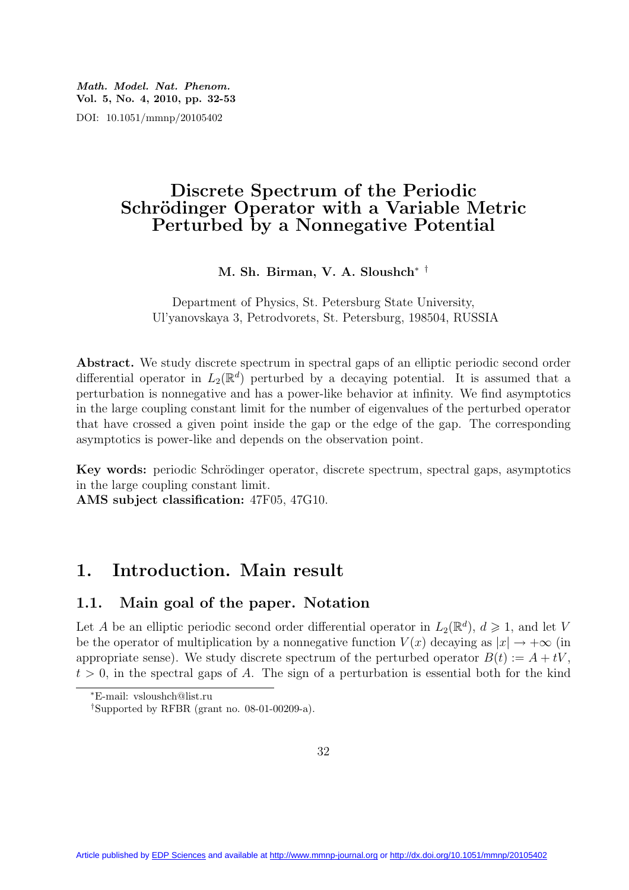Math. Model. Nat. Phenom. Vol. 5, No. 4, 2010, pp. 32-53 DOI: 10.1051/mmnp/20105402

## Discrete Spectrum of the Periodic Schrödinger Operator with a Variable Metric Perturbed by a Nonnegative Potential

M. Sh. Birman, V. A. Sloushch∗ †

Department of Physics, St. Petersburg State University, Ul'yanovskaya 3, Petrodvorets, St. Petersburg, 198504, RUSSIA

Abstract. We study discrete spectrum in spectral gaps of an elliptic periodic second order differential operator in  $L_2(\mathbb{R}^d)$  perturbed by a decaying potential. It is assumed that a perturbation is nonnegative and has a power-like behavior at infinity. We find asymptotics in the large coupling constant limit for the number of eigenvalues of the perturbed operator that have crossed a given point inside the gap or the edge of the gap. The corresponding asymptotics is power-like and depends on the observation point.

Key words: periodic Schrödinger operator, discrete spectrum, spectral gaps, asymptotics in the large coupling constant limit.

AMS subject classification: 47F05, 47G10.

## 1. Introduction. Main result

### 1.1. Main goal of the paper. Notation

Let A be an elliptic periodic second order differential operator in  $L_2(\mathbb{R}^d)$ ,  $d \geq 1$ , and let V be the operator of multiplication by a nonnegative function  $V(x)$  decaying as  $|x| \to +\infty$  (in appropriate sense). We study discrete spectrum of the perturbed operator  $B(t) := A + tV$ .  $t > 0$ , in the spectral gaps of A. The sign of a perturbation is essential both for the kind

<sup>∗</sup>E-mail: vsloushch@list.ru

<sup>†</sup>Supported by RFBR (grant no. 08-01-00209-a).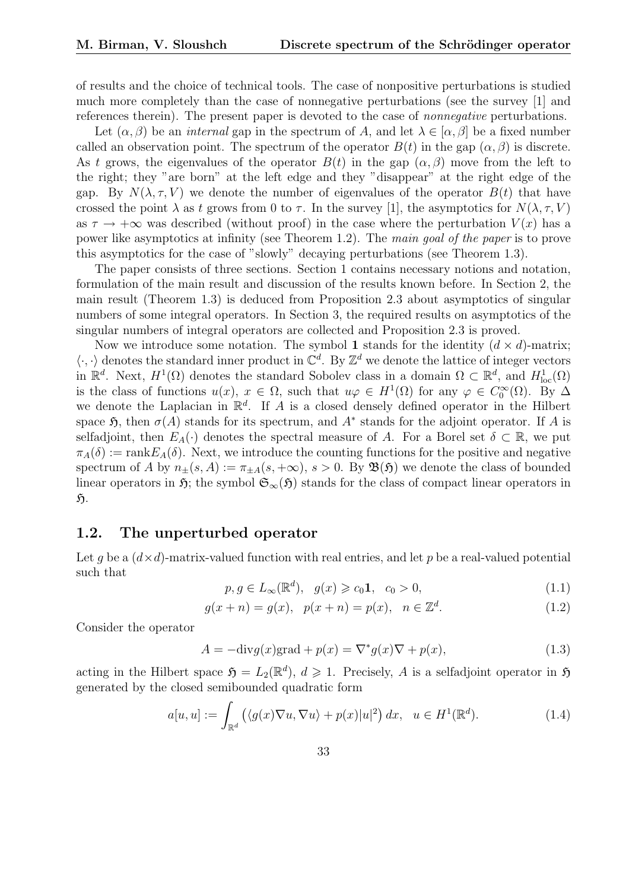of results and the choice of technical tools. The case of nonpositive perturbations is studied much more completely than the case of nonnegative perturbations (see the survey [1] and references therein). The present paper is devoted to the case of nonnegative perturbations.

Let  $(\alpha, \beta)$  be an *internal* gap in the spectrum of A, and let  $\lambda \in [\alpha, \beta]$  be a fixed number called an observation point. The spectrum of the operator  $B(t)$  in the gap  $(\alpha, \beta)$  is discrete. As t grows, the eigenvalues of the operator  $B(t)$  in the gap  $(\alpha, \beta)$  move from the left to the right; they "are born" at the left edge and they "disappear" at the right edge of the gap. By  $N(\lambda, \tau, V)$  we denote the number of eigenvalues of the operator  $B(t)$  that have crossed the point  $\lambda$  as t grows from 0 to  $\tau$ . In the survey [1], the asymptotics for  $N(\lambda, \tau, V)$ as  $\tau \to +\infty$  was described (without proof) in the case where the perturbation  $V(x)$  has a power like asymptotics at infinity (see Theorem 1.2). The main goal of the paper is to prove this asymptotics for the case of "slowly" decaying perturbations (see Theorem 1.3).

The paper consists of three sections. Section 1 contains necessary notions and notation, formulation of the main result and discussion of the results known before. In Section 2, the main result (Theorem 1.3) is deduced from Proposition 2.3 about asymptotics of singular numbers of some integral operators. In Section 3, the required results on asymptotics of the singular numbers of integral operators are collected and Proposition 2.3 is proved.

Now we introduce some notation. The symbol 1 stands for the identity  $(d \times d)$ -matrix;  $\langle \cdot, \cdot \rangle$  denotes the standard inner product in  $\mathbb{C}^d$ . By  $\mathbb{Z}^d$  we denote the lattice of integer vectors in  $\mathbb{R}^d$ . Next,  $H^1(\Omega)$  denotes the standard Sobolev class in a domain  $\Omega \subset \mathbb{R}^d$ , and  $H^1_{loc}(\Omega)$ is the class of functions  $u(x)$ ,  $x \in \Omega$ , such that  $u\varphi \in H^1(\Omega)$  for any  $\varphi \in C_0^{\infty}(\Omega)$ . By  $\Delta$ we denote the Laplacian in  $\mathbb{R}^d$ . If A is a closed densely defined operator in the Hilbert space  $\mathfrak{H}$ , then  $\sigma(A)$  stands for its spectrum, and  $A^*$  stands for the adjoint operator. If A is selfadjoint, then  $E_A(\cdot)$  denotes the spectral measure of A. For a Borel set  $\delta \subset \mathbb{R}$ , we put  $\pi_A(\delta) := \text{rank} E_A(\delta)$ . Next, we introduce the counting functions for the positive and negative spectrum of A by  $n_{\pm}(s, A) := \pi_{\pm A}(s, +\infty)$ ,  $s > 0$ . By  $\mathfrak{B}(\mathfrak{H})$  we denote the class of bounded linear operators in  $\mathfrak{H}$ ; the symbol  $\mathfrak{S}_{\infty}(\mathfrak{H})$  stands for the class of compact linear operators in  $\mathfrak{H}.$ 

### 1.2. The unperturbed operator

Let q be a  $(d \times d)$ -matrix-valued function with real entries, and let p be a real-valued potential such that

$$
p, g \in L_{\infty}(\mathbb{R}^d), \quad g(x) \geqslant c_0 \mathbf{1}, \quad c_0 > 0,\tag{1.1}
$$

$$
g(x+n) = g(x), \ \ p(x+n) = p(x), \ \ n \in \mathbb{Z}^d. \tag{1.2}
$$

Consider the operator

$$
A = -\text{div}g(x)\text{grad} + p(x) = \nabla^*g(x)\nabla + p(x),\tag{1.3}
$$

acting in the Hilbert space  $\mathfrak{H} = L_2(\mathbb{R}^d)$ ,  $d \geq 1$ . Precisely, A is a selfadjoint operator in  $\mathfrak{H}$ generated by the closed semibounded quadratic form

$$
a[u, u] := \int_{\mathbb{R}^d} \left( \langle g(x) \nabla u, \nabla u \rangle + p(x) |u|^2 \right) dx, \quad u \in H^1(\mathbb{R}^d). \tag{1.4}
$$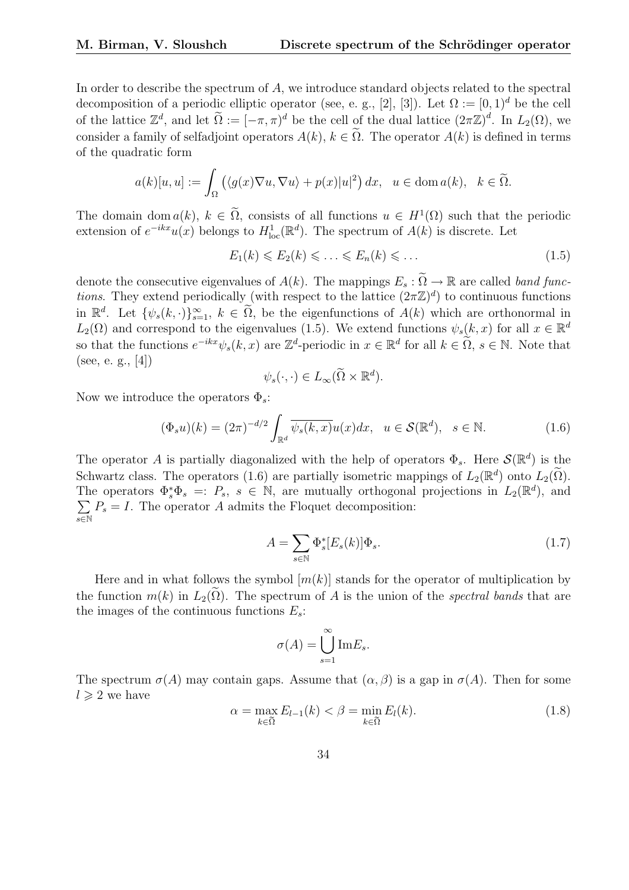In order to describe the spectrum of A, we introduce standard objects related to the spectral decomposition of a periodic elliptic operator (see, e. g., [2], [3]). Let  $\Omega := [0, 1)^d$  be the cell of the lattice  $\mathbb{Z}^d$ , and let  $\widetilde{\Omega} := [-\pi, \pi)^d$  be the cell of the dual lattice  $(2\pi\mathbb{Z})^d$ . In  $L_2(\Omega)$ , we consider a family of selfadjoint operators  $A(k)$ ,  $k \in \tilde{\Omega}$ . The operator  $A(k)$  is defined in terms of the quadratic form

$$
a(k)[u, u] := \int_{\Omega} \left( \langle g(x) \nabla u, \nabla u \rangle + p(x) |u|^2 \right) dx, \ u \in \text{dom } a(k), \ k \in \widetilde{\Omega}.
$$

The domain dom  $a(k)$ ,  $k \in \tilde{\Omega}$ , consists of all functions  $u \in H^1(\Omega)$  such that the periodic extension of  $e^{-ikx}u(x)$  belongs to  $H_{\text{loc}}^1(\mathbb{R}^d)$ . The spectrum of  $A(k)$  is discrete. Let

$$
E_1(k) \leqslant E_2(k) \leqslant \ldots \leqslant E_n(k) \leqslant \ldots \tag{1.5}
$$

denote the consecutive eigenvalues of  $A(k)$ . The mappings  $E_s : \tilde{\Omega} \to \mathbb{R}$  are called band func*tions*. They extend periodically (with respect to the lattice  $(2\pi\mathbb{Z})^d$ ) to continuous functions in  $\mathbb{R}^d$ . Let  $\{\psi_s(k, \cdot)\}_{s=1}^{\infty}$ ,  $k \in \tilde{\Omega}$ , be the eigenfunctions of  $A(k)$  which are orthonormal in  $L_2(\Omega)$  and correspond to the eigenvalues (1.5). We extend functions  $\psi_s(k, x)$  for all  $x \in \mathbb{R}^d$ so that the functions  $e^{-ikx}\psi_s(k,x)$  are  $\mathbb{Z}^d$ -periodic in  $x \in \mathbb{R}^d$  for all  $k \in \tilde{\Omega}$ ,  $s \in \mathbb{N}$ . Note that (see, e. g., [4])

$$
\psi_s(\cdot,\cdot) \in L_\infty(\widetilde{\Omega} \times \mathbb{R}^d).
$$

Now we introduce the operators  $\Phi_s$ :

$$
(\Phi_s u)(k) = (2\pi)^{-d/2} \int_{\mathbb{R}^d} \overline{\psi_s(k, x)} u(x) dx, \quad u \in \mathcal{S}(\mathbb{R}^d), \quad s \in \mathbb{N}.
$$
 (1.6)

The operator A is partially diagonalized with the help of operators  $\Phi_s$ . Here  $\mathcal{S}(\mathbb{R}^d)$  is the Schwartz class. The operators (1.6) are partially isometric mappings of  $L_2(\mathbb{R}^d)$  onto  $L_2(\tilde{\Omega})$ . The operators  $\Phi_s^* \Phi_s =: P_s, s \in \mathbb{N}$ , are mutually orthogonal projections in  $L_2(\mathbb{R}^d)$ , and s∈N  $\sum P_s = I$ . The operator A admits the Floquet decomposition:

$$
A = \sum_{s \in \mathbb{N}} \Phi_s^*[E_s(k)] \Phi_s.
$$
 (1.7)

Here and in what follows the symbol  $[m(k)]$  stands for the operator of multiplication by the function  $m(k)$  in  $L_2(\Omega)$ . The spectrum of A is the union of the spectral bands that are the images of the continuous functions  $E_s$ :

$$
\sigma(A) = \bigcup_{s=1}^{\infty} \text{Im} E_s.
$$

The spectrum  $\sigma(A)$  may contain gaps. Assume that  $(\alpha, \beta)$  is a gap in  $\sigma(A)$ . Then for some  $l \geqslant 2$  we have

$$
\alpha = \max_{k \in \tilde{\Omega}} E_{l-1}(k) < \beta = \min_{k \in \tilde{\Omega}} E_l(k). \tag{1.8}
$$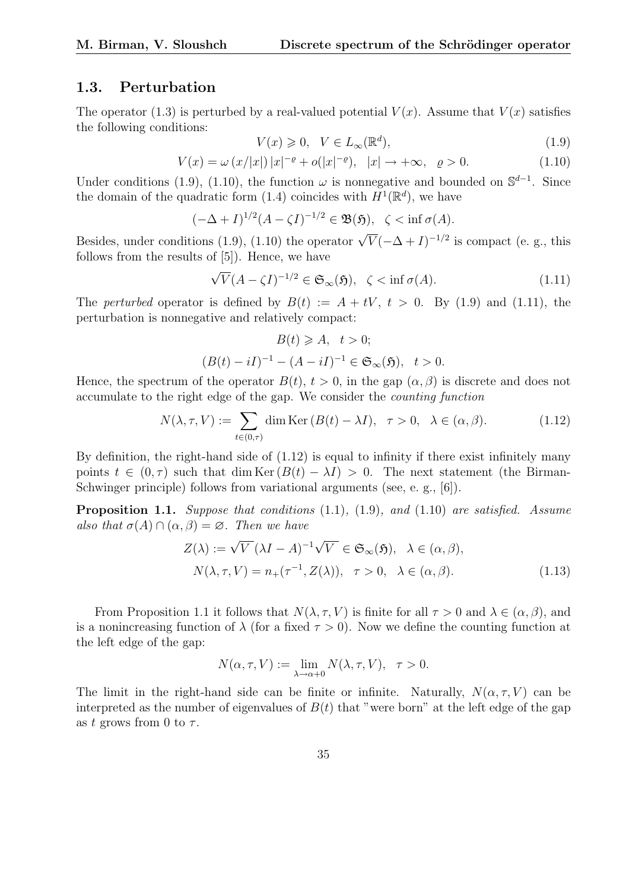### 1.3. Perturbation

The operator (1.3) is perturbed by a real-valued potential  $V(x)$ . Assume that  $V(x)$  satisfies the following conditions:

$$
V(x) \geq 0, \quad V \in L_{\infty}(\mathbb{R}^d),\tag{1.9}
$$

$$
V(x) = \omega (x/|x|) |x|^{-\varrho} + o(|x|^{-\varrho}), |x| \to +\infty, \quad \varrho > 0.
$$
 (1.10)

Under conditions (1.9), (1.10), the function  $\omega$  is nonnegative and bounded on  $\mathbb{S}^{d-1}$ . Since the domain of the quadratic form (1.4) coincides with  $H^1(\mathbb{R}^d)$ , we have

$$
(-\Delta + I)^{1/2} (A - \zeta I)^{-1/2} \in \mathfrak{B}(\mathfrak{H}), \ \ \zeta < \inf \sigma(A).
$$

Besides, under conditions (1.9), (1.10) the operator  $\sqrt{V}(-\Delta+I)^{-1/2}$  is compact (e. g., this follows from the results of [5]). Hence, we have

$$
\sqrt{V}(A - \zeta I)^{-1/2} \in \mathfrak{S}_{\infty}(\mathfrak{H}), \quad \zeta < \inf \sigma(A). \tag{1.11}
$$

The perturbed operator is defined by  $B(t) := A + tV$ ,  $t > 0$ . By (1.9) and (1.11), the perturbation is nonnegative and relatively compact:

$$
B(t) \ge A, \quad t > 0;
$$
  

$$
(B(t) - iI)^{-1} - (A - iI)^{-1} \in \mathfrak{S}_{\infty}(\mathfrak{H}), \quad t > 0.
$$

Hence, the spectrum of the operator  $B(t)$ ,  $t > 0$ , in the gap  $(\alpha, \beta)$  is discrete and does not accumulate to the right edge of the gap. We consider the counting function

$$
N(\lambda, \tau, V) := \sum_{t \in (0, \tau)} \dim \text{Ker} (B(t) - \lambda I), \quad \tau > 0, \quad \lambda \in (\alpha, \beta). \tag{1.12}
$$

By definition, the right-hand side of  $(1.12)$  is equal to infinity if there exist infinitely many points  $t \in (0, \tau)$  such that dim Ker  $(B(t) - \lambda I) > 0$ . The next statement (the Birman-Schwinger principle) follows from variational arguments (see, e. g., [6]).

**Proposition 1.1.** Suppose that conditions  $(1.1)$ ,  $(1.9)$ , and  $(1.10)$  are satisfied. Assume also that  $\sigma(A) \cap (\alpha, \beta) = \emptyset$ . Then we have

$$
Z(\lambda) := \sqrt{V} (\lambda I - A)^{-1} \sqrt{V} \in \mathfrak{S}_{\infty}(\mathfrak{H}), \quad \lambda \in (\alpha, \beta),
$$
  

$$
N(\lambda, \tau, V) = n_{+}(\tau^{-1}, Z(\lambda)), \quad \tau > 0, \quad \lambda \in (\alpha, \beta).
$$
 (1.13)

From Proposition 1.1 it follows that  $N(\lambda, \tau, V)$  is finite for all  $\tau > 0$  and  $\lambda \in (\alpha, \beta)$ , and is a nonincreasing function of  $\lambda$  (for a fixed  $\tau > 0$ ). Now we define the counting function at the left edge of the gap:

$$
N(\alpha, \tau, V) := \lim_{\lambda \to \alpha + 0} N(\lambda, \tau, V), \quad \tau > 0.
$$

The limit in the right-hand side can be finite or infinite. Naturally,  $N(\alpha, \tau, V)$  can be interpreted as the number of eigenvalues of  $B(t)$  that "were born" at the left edge of the gap as t grows from 0 to  $\tau$ .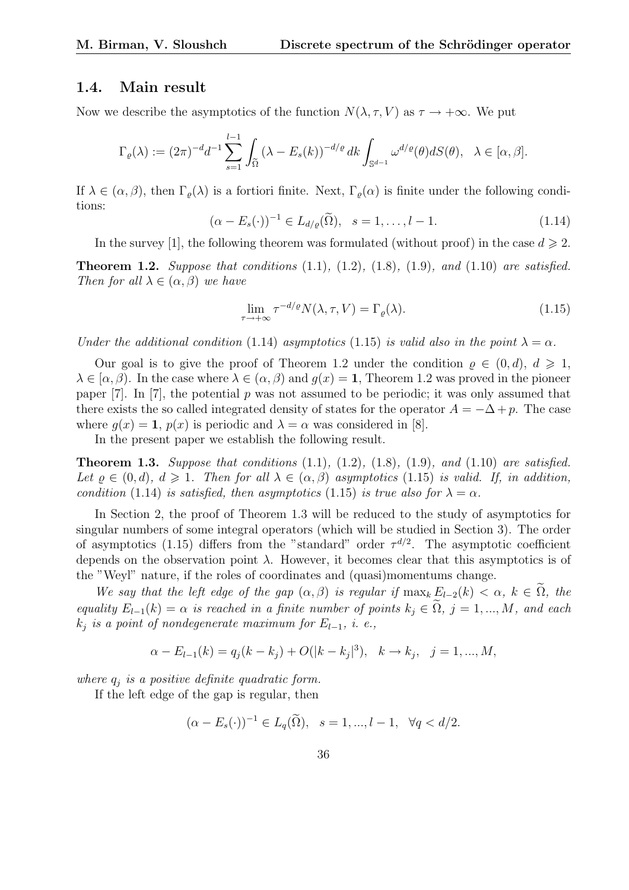### 1.4. Main result

Now we describe the asymptotics of the function  $N(\lambda, \tau, V)$  as  $\tau \to +\infty$ . We put

$$
\Gamma_\varrho(\lambda):=(2\pi)^{-d}d^{-1}\sum_{s=1}^{l-1}\int_{\widetilde{\Omega}}\left(\lambda-E_s(k)\right)^{-d/\varrho}dk\int_{\mathbb{S}^{d-1}}\omega^{d/\varrho}(\theta)dS(\theta),\quad\lambda\in[\alpha,\beta].
$$

If  $\lambda \in (\alpha, \beta)$ , then  $\Gamma_o(\lambda)$  is a fortiori finite. Next,  $\Gamma_o(\alpha)$  is finite under the following conditions:

$$
(\alpha - E_s(\cdot))^{-1} \in L_{d/\varrho}(\widetilde{\Omega}), \quad s = 1, \dots, l-1.
$$
 (1.14)

In the survey [1], the following theorem was formulated (without proof) in the case  $d \geq 2$ .

**Theorem 1.2.** Suppose that conditions  $(1.1)$ ,  $(1.2)$ ,  $(1.8)$ ,  $(1.9)$ , and  $(1.10)$  are satisfied. Then for all  $\lambda \in (\alpha, \beta)$  we have

$$
\lim_{\tau \to +\infty} \tau^{-d/\varrho} N(\lambda, \tau, V) = \Gamma_{\varrho}(\lambda). \tag{1.15}
$$

Under the additional condition (1.14) asymptotics (1.15) is valid also in the point  $\lambda = \alpha$ .

Our goal is to give the proof of Theorem 1.2 under the condition  $\rho \in (0,d)$ ,  $d \geq 1$ ,  $\lambda \in [\alpha, \beta]$ . In the case where  $\lambda \in (\alpha, \beta)$  and  $q(x) = 1$ , Theorem 1.2 was proved in the pioneer paper [7]. In [7], the potential p was not assumed to be periodic; it was only assumed that there exists the so called integrated density of states for the operator  $A = -\Delta + p$ . The case where  $g(x) = 1$ ,  $p(x)$  is periodic and  $\lambda = \alpha$  was considered in [8].

In the present paper we establish the following result.

**Theorem 1.3.** Suppose that conditions  $(1.1)$ ,  $(1.2)$ ,  $(1.8)$ ,  $(1.9)$ , and  $(1.10)$  are satisfied. Let  $\rho \in (0, d), d \geq 1$ . Then for all  $\lambda \in (\alpha, \beta)$  asymptotics (1.15) is valid. If, in addition, condition (1.14) is satisfied, then asymptotics (1.15) is true also for  $\lambda = \alpha$ .

In Section 2, the proof of Theorem 1.3 will be reduced to the study of asymptotics for singular numbers of some integral operators (which will be studied in Section 3). The order of asymptotics (1.15) differs from the "standard" order  $\tau^{d/2}$ . The asymptotic coefficient depends on the observation point  $\lambda$ . However, it becomes clear that this asymptotics is of the "Weyl" nature, if the roles of coordinates and (quasi)momentums change.

We say that the left edge of the gap  $(\alpha, \beta)$  is regular if  $\max_k E_{l-2}(k) < \alpha, k \in \Omega$ , the equality  $E_{l-1}(k) = \alpha$  is reached in a finite number of points  $k_j \in \Omega$ ,  $j = 1, ..., M$ , and each  $k_i$  is a point of nondegenerate maximum for  $E_{l-1}$ , i. e.,

$$
\alpha - E_{l-1}(k) = q_j(k - k_j) + O(|k - k_j|^3), \quad k \to k_j, \quad j = 1, ..., M,
$$

where  $q_i$  is a positive definite quadratic form.

If the left edge of the gap is regular, then

$$
(\alpha - E_s(\cdot))^{-1} \in L_q(\tilde{\Omega}), \quad s = 1, ..., l - 1, \quad \forall q < d/2.
$$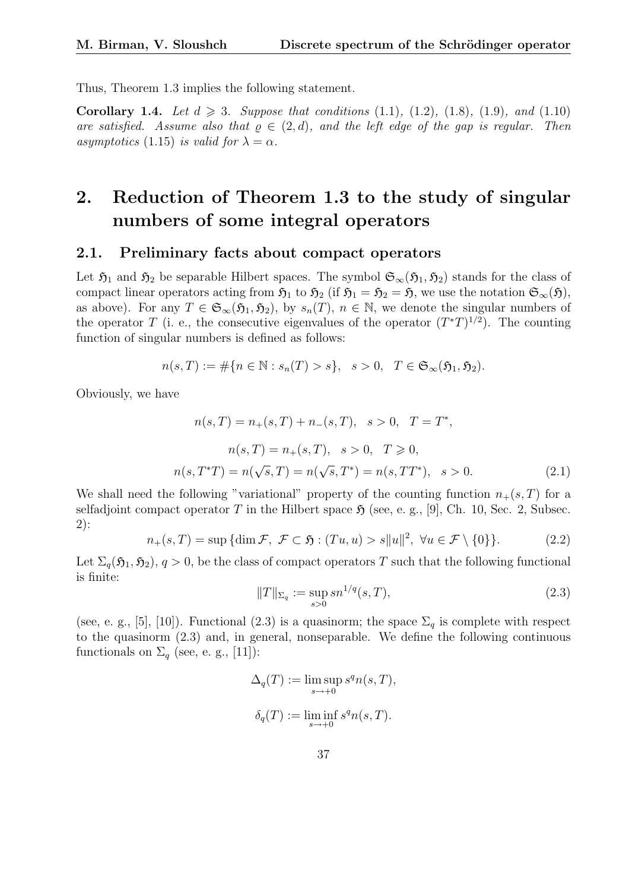Thus, Theorem 1.3 implies the following statement.

**Corollary 1.4.** Let  $d \ge 3$ . Suppose that conditions (1.1), (1.2), (1.8), (1.9), and (1.10) are satisfied. Assume also that  $\rho \in (2,d)$ , and the left edge of the gap is regular. Then asymptotics (1.15) is valid for  $\lambda = \alpha$ .

# 2. Reduction of Theorem 1.3 to the study of singular numbers of some integral operators

#### 2.1. Preliminary facts about compact operators

Let  $\mathfrak{H}_1$  and  $\mathfrak{H}_2$  be separable Hilbert spaces. The symbol  $\mathfrak{S}_{\infty}(\mathfrak{H}_1, \mathfrak{H}_2)$  stands for the class of compact linear operators acting from  $\mathfrak{H}_1$  to  $\mathfrak{H}_2$  (if  $\mathfrak{H}_1 = \mathfrak{H}_2 = \mathfrak{H}$ , we use the notation  $\mathfrak{S}_{\infty}(\mathfrak{H})$ , as above). For any  $T \in \mathfrak{S}_{\infty}(\mathfrak{H}_1, \mathfrak{H}_2)$ , by  $s_n(T)$ ,  $n \in \mathbb{N}$ , we denote the singular numbers of the operator T (i. e., the consecutive eigenvalues of the operator  $(T^*T)^{1/2}$ ). The counting function of singular numbers is defined as follows:

$$
n(s,T) := \#\{n \in \mathbb{N} : s_n(T) > s\}, \quad s > 0, \quad T \in \mathfrak{S}_{\infty}(\mathfrak{H}_1, \mathfrak{H}_2).
$$

Obviously, we have

$$
n(s,T) = n_{+}(s,T) + n_{-}(s,T), \quad s > 0, \quad T = T^{*},
$$
  
\n
$$
n(s,T) = n_{+}(s,T), \quad s > 0, \quad T \ge 0,
$$
  
\n
$$
n(s,T^{*}T) = n(\sqrt{s},T) = n(\sqrt{s},T^{*}) = n(s,TT^{*}), \quad s > 0.
$$
\n(2.1)

We shall need the following "variational" property of the counting function  $n_{+}(s, T)$  for a selfadjoint compact operator T in the Hilbert space  $\mathfrak{H}$  (see, e. g., [9], Ch. 10, Sec. 2, Subsec. 2):

$$
n_{+}(s,T) = \sup \{ \dim \mathcal{F}, \ \mathcal{F} \subset \mathfrak{H} : (Tu, u) > s||u||^2, \ \forall u \in \mathcal{F} \setminus \{0\} \}. \tag{2.2}
$$

Let  $\Sigma_q(\mathfrak{H}_1, \mathfrak{H}_2)$ ,  $q > 0$ , be the class of compact operators T such that the following functional is finite:

$$
||T||_{\Sigma_q} := \sup_{s>0} s n^{1/q}(s,T),
$$
\n(2.3)

(see, e. g., [5], [10]). Functional (2.3) is a quasinorm; the space  $\Sigma_q$  is complete with respect to the quasinorm (2.3) and, in general, nonseparable. We define the following continuous functionals on  $\Sigma_q$  (see, e. g., [11]):

$$
\Delta_q(T) := \limsup_{s \to +0} s^q n(s, T),
$$
  

$$
\delta_q(T) := \liminf_{s \to +0} s^q n(s, T).
$$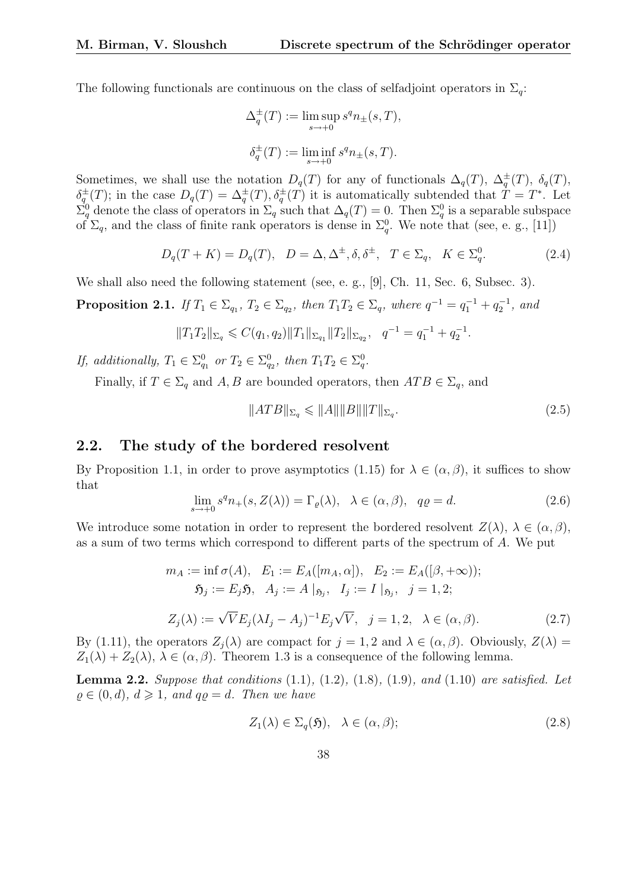The following functionals are continuous on the class of selfadjoint operators in  $\Sigma_q$ :

$$
\Delta_q^{\pm}(T) := \limsup_{s \to +0} s^q n_{\pm}(s, T),
$$
  

$$
\delta_q^{\pm}(T) := \liminf_{s \to +0} s^q n_{\pm}(s, T).
$$

Sometimes, we shall use the notation  $D_q(T)$  for any of functionals  $\Delta_q(T)$ ,  $\Delta_q^{\pm}(T)$ ,  $\delta_q(T)$ ,  $\delta_q^{\pm}(T)$ ; in the case  $D_q(T) = \Delta_q^{\pm}(T), \delta_q^{\pm}(T)$  it is automatically subtended that  $T = T^*$ . Let  $\Sigma_q^0$  denote the class of operators in  $\Sigma_q$  such that  $\Delta_q(T) = 0$ . Then  $\Sigma_q^0$  is a separable subspace of  $\Sigma_q$ , and the class of finite rank operators is dense in  $\Sigma_q^0$ . We note that (see, e. g., [11])

$$
D_q(T+K) = D_q(T), \quad D = \Delta, \Delta^{\pm}, \delta, \delta^{\pm}, \quad T \in \Sigma_q, \quad K \in \Sigma_q^0. \tag{2.4}
$$

We shall also need the following statement (see, e. g., [9], Ch. 11, Sec. 6, Subsec. 3).

**Proposition 2.1.** If  $T_1 \in \Sigma_{q_1}$ ,  $T_2 \in \Sigma_{q_2}$ , then  $T_1T_2 \in \Sigma_q$ , where  $q^{-1} = q_1^{-1} + q_2^{-1}$ , and

$$
||T_1T_2||_{\Sigma_q} \leqslant C(q_1, q_2)||T_1||_{\Sigma_{q_1}}||T_2||_{\Sigma_{q_2}}, \quad q^{-1} = q_1^{-1} + q_2^{-1}.
$$

If, additionally,  $T_1 \in \Sigma_{q_1}^0$  or  $T_2 \in \Sigma_{q_2}^0$ , then  $T_1T_2 \in \Sigma_q^0$ .

Finally, if  $T \in \Sigma_q$  and  $A, B$  are bounded operators, then  $ATB \in \Sigma_q$ , and

$$
||ATB||_{\Sigma_q} \leqslant ||A|| ||B|| ||T||_{\Sigma_q}.
$$
\n
$$
(2.5)
$$

### 2.2. The study of the bordered resolvent

By Proposition 1.1, in order to prove asymptotics (1.15) for  $\lambda \in (\alpha, \beta)$ , it suffices to show that

$$
\lim_{s \to +0} s^q n_+(s, Z(\lambda)) = \Gamma_\varrho(\lambda), \quad \lambda \in (\alpha, \beta), \quad q\varrho = d. \tag{2.6}
$$

We introduce some notation in order to represent the bordered resolvent  $Z(\lambda)$ ,  $\lambda \in (\alpha, \beta)$ , as a sum of two terms which correspond to different parts of the spectrum of A. We put

$$
m_A := \inf \sigma(A), \quad E_1 := E_A([m_A, \alpha]), \quad E_2 := E_A([\beta, +\infty));
$$
  
\n
$$
\mathfrak{H}_j := E_j \mathfrak{H}, \quad A_j := A \mid_{\mathfrak{H}_j}, \quad I_j := I \mid_{\mathfrak{H}_j}, \quad j = 1, 2;
$$
  
\n
$$
Z_j(\lambda) := \sqrt{V} E_j (\lambda I_j - A_j)^{-1} E_j \sqrt{V}, \quad j = 1, 2, \quad \lambda \in (\alpha, \beta).
$$
 (2.7)

By (1.11), the operators  $Z_i(\lambda)$  are compact for  $j = 1, 2$  and  $\lambda \in (\alpha, \beta)$ . Obviously,  $Z(\lambda) =$  $Z_1(\lambda) + Z_2(\lambda), \lambda \in (\alpha, \beta)$ . Theorem 1.3 is a consequence of the following lemma.

**Lemma 2.2.** Suppose that conditions  $(1.1)$ ,  $(1.2)$ ,  $(1.8)$ ,  $(1.9)$ , and  $(1.10)$  are satisfied. Let  $\rho \in (0, d), d \geqslant 1, and q\rho = d.$  Then we have

$$
Z_1(\lambda) \in \Sigma_q(\mathfrak{H}), \quad \lambda \in (\alpha, \beta); \tag{2.8}
$$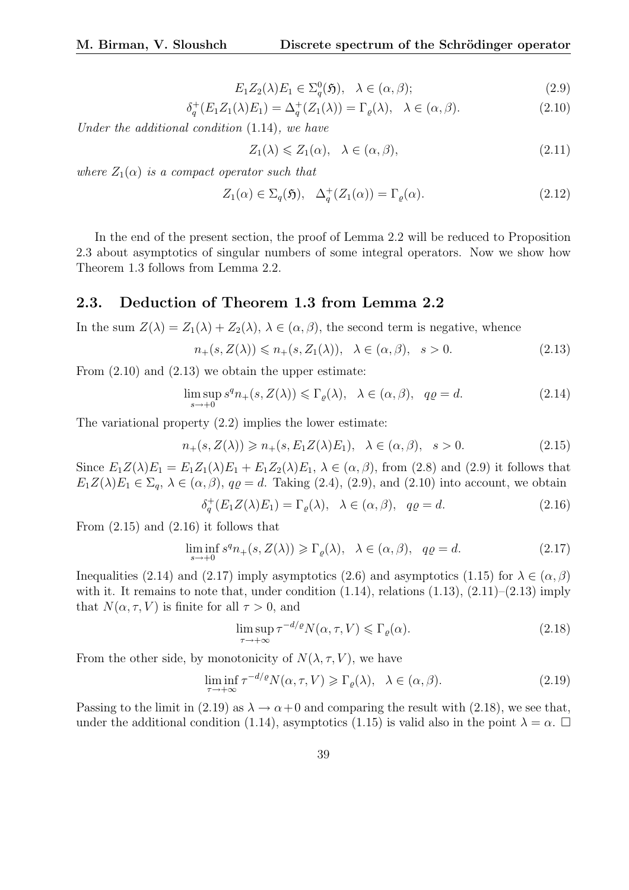$$
E_1 Z_2(\lambda) E_1 \in \Sigma_q^0(\mathfrak{H}), \quad \lambda \in (\alpha, \beta); \tag{2.9}
$$

$$
\delta_q^+(E_1 Z_1(\lambda) E_1) = \Delta_q^+(Z_1(\lambda)) = \Gamma_\varrho(\lambda), \quad \lambda \in (\alpha, \beta). \tag{2.10}
$$

Under the additional condition (1.14), we have

$$
Z_1(\lambda) \leq Z_1(\alpha), \quad \lambda \in (\alpha, \beta), \tag{2.11}
$$

where  $Z_1(\alpha)$  is a compact operator such that

$$
Z_1(\alpha) \in \Sigma_q(\mathfrak{H}), \quad \Delta_q^+(Z_1(\alpha)) = \Gamma_\varrho(\alpha). \tag{2.12}
$$

In the end of the present section, the proof of Lemma 2.2 will be reduced to Proposition 2.3 about asymptotics of singular numbers of some integral operators. Now we show how Theorem 1.3 follows from Lemma 2.2.

#### 2.3. Deduction of Theorem 1.3 from Lemma 2.2

In the sum  $Z(\lambda) = Z_1(\lambda) + Z_2(\lambda), \lambda \in (\alpha, \beta)$ , the second term is negative, whence

$$
n_{+}(s, Z(\lambda)) \leq n_{+}(s, Z_{1}(\lambda)), \quad \lambda \in (\alpha, \beta), \quad s > 0.
$$
\n
$$
(2.13)
$$

From  $(2.10)$  and  $(2.13)$  we obtain the upper estimate:

$$
\limsup_{s \to +0} s^q n_+(s, Z(\lambda)) \leq \Gamma_\varrho(\lambda), \quad \lambda \in (\alpha, \beta), \quad q\varrho = d. \tag{2.14}
$$

The variational property (2.2) implies the lower estimate:

$$
n_{+}(s, Z(\lambda)) \geqslant n_{+}(s, E_1 Z(\lambda) E_1), \quad \lambda \in (\alpha, \beta), \quad s > 0.
$$
\n
$$
(2.15)
$$

Since  $E_1Z(\lambda)E_1 = E_1Z_1(\lambda)E_1 + E_1Z_2(\lambda)E_1, \lambda \in (\alpha, \beta)$ , from (2.8) and (2.9) it follows that  $E_1Z(\lambda)E_1 \in \Sigma_a$ ,  $\lambda \in (\alpha, \beta)$ ,  $q\varrho = d$ . Taking (2.4), (2.9), and (2.10) into account, we obtain

$$
\delta_q^+(E_1 Z(\lambda) E_1) = \Gamma_\varrho(\lambda), \quad \lambda \in (\alpha, \beta), \quad q\varrho = d. \tag{2.16}
$$

From  $(2.15)$  and  $(2.16)$  it follows that

$$
\liminf_{s \to +0} s^q n_+(s, Z(\lambda)) \ge \Gamma_\varrho(\lambda), \quad \lambda \in (\alpha, \beta), \quad q\varrho = d. \tag{2.17}
$$

Inequalities (2.14) and (2.17) imply asymptotics (2.6) and asymptotics (1.15) for  $\lambda \in (\alpha, \beta)$ with it. It remains to note that, under condition  $(1.14)$ , relations  $(1.13)$ ,  $(2.11)$ – $(2.13)$  imply that  $N(\alpha, \tau, V)$  is finite for all  $\tau > 0$ , and

$$
\limsup_{\tau \to +\infty} \tau^{-d/\varrho} N(\alpha, \tau, V) \leqslant \Gamma_{\varrho}(\alpha). \tag{2.18}
$$

From the other side, by monotonicity of  $N(\lambda, \tau, V)$ , we have

$$
\liminf_{\tau \to +\infty} \tau^{-d/\varrho} N(\alpha, \tau, V) \geqslant \Gamma_{\varrho}(\lambda), \quad \lambda \in (\alpha, \beta). \tag{2.19}
$$

Passing to the limit in (2.19) as  $\lambda \to \alpha + 0$  and comparing the result with (2.18), we see that, under the additional condition (1.14), asymptotics (1.15) is valid also in the point  $\lambda = \alpha$ .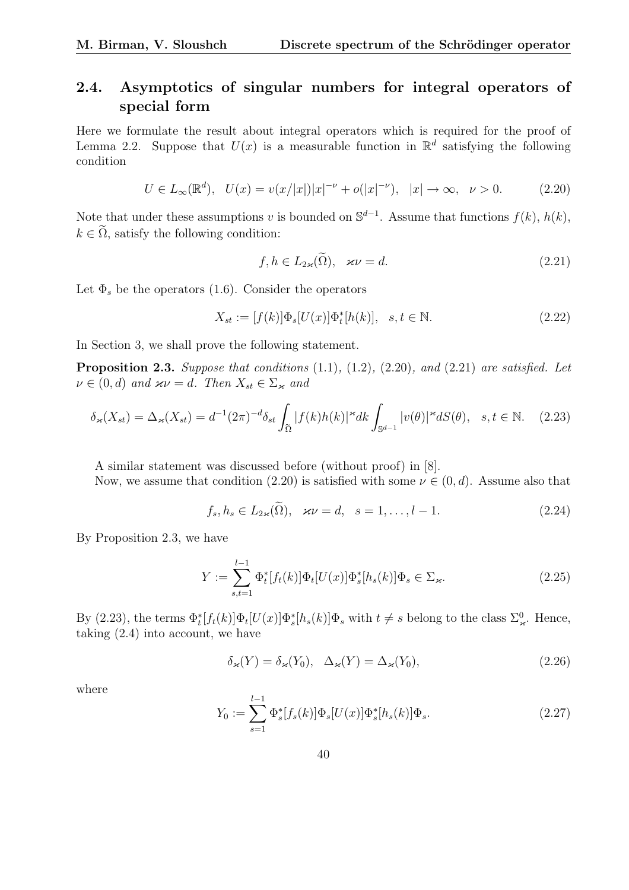## 2.4. Asymptotics of singular numbers for integral operators of special form

Here we formulate the result about integral operators which is required for the proof of Lemma 2.2. Suppose that  $U(x)$  is a measurable function in  $\mathbb{R}^d$  satisfying the following condition

$$
U \in L_{\infty}(\mathbb{R}^d), \quad U(x) = v(x/|x|)|x|^{-\nu} + o(|x|^{-\nu}), \quad |x| \to \infty, \quad \nu > 0. \tag{2.20}
$$

Note that under these assumptions v is bounded on  $\mathbb{S}^{d-1}$ . Assume that functions  $f(k)$ ,  $h(k)$ ,  $k \in \tilde{\Omega}$ , satisfy the following condition:

$$
f, h \in L_{2\varkappa}(\widetilde{\Omega}), \quad \varkappa \nu = d. \tag{2.21}
$$

Let  $\Phi_s$  be the operators (1.6). Consider the operators

$$
X_{st} := [f(k)]\Phi_s[U(x)]\Phi_t^*[h(k)], \quad s, t \in \mathbb{N}.
$$
 (2.22)

In Section 3, we shall prove the following statement.

**Proposition 2.3.** Suppose that conditions  $(1.1)$ ,  $(1.2)$ ,  $(2.20)$ , and  $(2.21)$  are satisfied. Let  $\nu \in (0, d)$  and  $\varkappa \nu = d$ . Then  $X_{st} \in \Sigma_{\varkappa}$  and

$$
\delta_{\varkappa}(X_{st}) = \Delta_{\varkappa}(X_{st}) = d^{-1}(2\pi)^{-d}\delta_{st} \int_{\tilde{\Omega}} |f(k)h(k)|^{\varkappa} dk \int_{\mathbb{S}^{d-1}} |v(\theta)|^{\varkappa} dS(\theta), \quad s, t \in \mathbb{N}. \tag{2.23}
$$

A similar statement was discussed before (without proof) in [8].

Now, we assume that condition (2.20) is satisfied with some  $\nu \in (0, d)$ . Assume also that

$$
f_s, h_s \in L_{2\varkappa}(\widetilde{\Omega}), \quad \varkappa \nu = d, \quad s = 1, \dots, l-1.
$$

By Proposition 2.3, we have

$$
Y := \sum_{s,t=1}^{l-1} \Phi_t^*[f_t(k)] \Phi_t[U(x)] \Phi_s^*[h_s(k)] \Phi_s \in \Sigma_{\varkappa}.
$$
 (2.25)

By (2.23), the terms  $\Phi_t^*[f_t(k)]\Phi_t[U(x)]\Phi_s^*[h_s(k)]\Phi_s$  with  $t \neq s$  belong to the class  $\Sigma^0_{\varkappa}$ . Hence, taking (2.4) into account, we have

$$
\delta_{\varkappa}(Y) = \delta_{\varkappa}(Y_0), \quad \Delta_{\varkappa}(Y) = \Delta_{\varkappa}(Y_0), \tag{2.26}
$$

where

$$
Y_0 := \sum_{s=1}^{l-1} \Phi_s^*[f_s(k)] \Phi_s[U(x)] \Phi_s^*[h_s(k)] \Phi_s.
$$
 (2.27)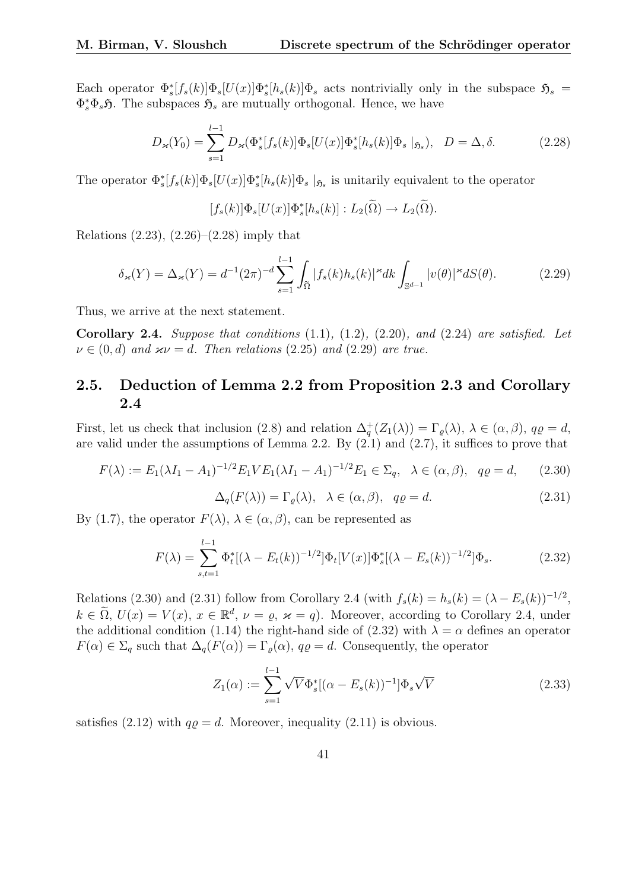Each operator  $\Phi_s^*[f_s(k)]\Phi_s[U(x)]\Phi_s^*[h_s(k)]\Phi_s$  acts nontrivially only in the subspace  $\mathfrak{H}_s$  =  $\Phi_s^* \Phi_s \mathfrak{H}$ . The subspaces  $\mathfrak{H}_s$  are mutually orthogonal. Hence, we have

$$
D_{\varkappa}(Y_0) = \sum_{s=1}^{l-1} D_{\varkappa}(\Phi_s^*[f_s(k)] \Phi_s[U(x)] \Phi_s^*[h_s(k)] \Phi_s |_{\mathfrak{H}_s}), \quad D = \Delta, \delta. \tag{2.28}
$$

The operator  $\Phi_s^*[f_s(k)]\Phi_s[U(x)]\Phi_s^*[h_s(k)]\Phi_s|_{\mathfrak{H}_s}$  is unitarily equivalent to the operator

$$
[f_s(k)]\Phi_s[U(x)]\Phi_s^*[h_s(k)] : L_2(\widetilde{\Omega}) \to L_2(\widetilde{\Omega}).
$$

Relations  $(2.23)$ ,  $(2.26)$ – $(2.28)$  imply that

$$
\delta_{\varkappa}(Y) = \Delta_{\varkappa}(Y) = d^{-1}(2\pi)^{-d} \sum_{s=1}^{l-1} \int_{\tilde{\Omega}} |f_s(k)h_s(k)|^{\varkappa} dk \int_{\mathbb{S}^{d-1}} |v(\theta)|^{\varkappa} dS(\theta). \tag{2.29}
$$

Thus, we arrive at the next statement.

Corollary 2.4. Suppose that conditions  $(1.1)$ ,  $(1.2)$ ,  $(2.20)$ , and  $(2.24)$  are satisfied. Let  $\nu \in (0, d)$  and  $\varkappa \nu = d$ . Then relations (2.25) and (2.29) are true.

### 2.5. Deduction of Lemma 2.2 from Proposition 2.3 and Corollary 2.4

First, let us check that inclusion (2.8) and relation  $\Delta_q^+(Z_1(\lambda)) = \Gamma_\varrho(\lambda)$ ,  $\lambda \in (\alpha, \beta)$ ,  $q\varrho = d$ , are valid under the assumptions of Lemma 2.2. By (2.1) and (2.7), it suffices to prove that

$$
F(\lambda) := E_1(\lambda I_1 - A_1)^{-1/2} E_1 V E_1 (\lambda I_1 - A_1)^{-1/2} E_1 \in \Sigma_q, \ \lambda \in (\alpha, \beta), \ q\varrho = d,\tag{2.30}
$$

$$
\Delta_q(F(\lambda)) = \Gamma_\varrho(\lambda), \quad \lambda \in (\alpha, \beta), \quad q\varrho = d. \tag{2.31}
$$

By (1.7), the operator  $F(\lambda)$ ,  $\lambda \in (\alpha, \beta)$ , can be represented as

$$
F(\lambda) = \sum_{s,t=1}^{l-1} \Phi_t^* [(\lambda - E_t(k))^{-1/2}] \Phi_t[V(x)] \Phi_s^* [(\lambda - E_s(k))^{-1/2}] \Phi_s.
$$
 (2.32)

Relations (2.30) and (2.31) follow from Corollary 2.4 (with  $f_s(k) = h_s(k) = (\lambda - E_s(k))^{-1/2}$ ,  $k \in \tilde{\Omega}$ ,  $U(x) = V(x)$ ,  $x \in \mathbb{R}^d$ ,  $\nu = \varrho$ ,  $\varkappa = q$ ). Moreover, according to Corollary 2.4, under the additional condition (1.14) the right-hand side of (2.32) with  $\lambda = \alpha$  defines an operator  $F(\alpha) \in \Sigma_q$  such that  $\Delta_q(F(\alpha)) = \Gamma_\varrho(\alpha)$ ,  $q\varrho = d$ . Consequently, the operator

$$
Z_1(\alpha) := \sum_{s=1}^{l-1} \sqrt{V} \Phi_s^* [(\alpha - E_s(k))^{-1}] \Phi_s \sqrt{V}
$$
 (2.33)

satisfies (2.12) with  $q\varrho = d$ . Moreover, inequality (2.11) is obvious.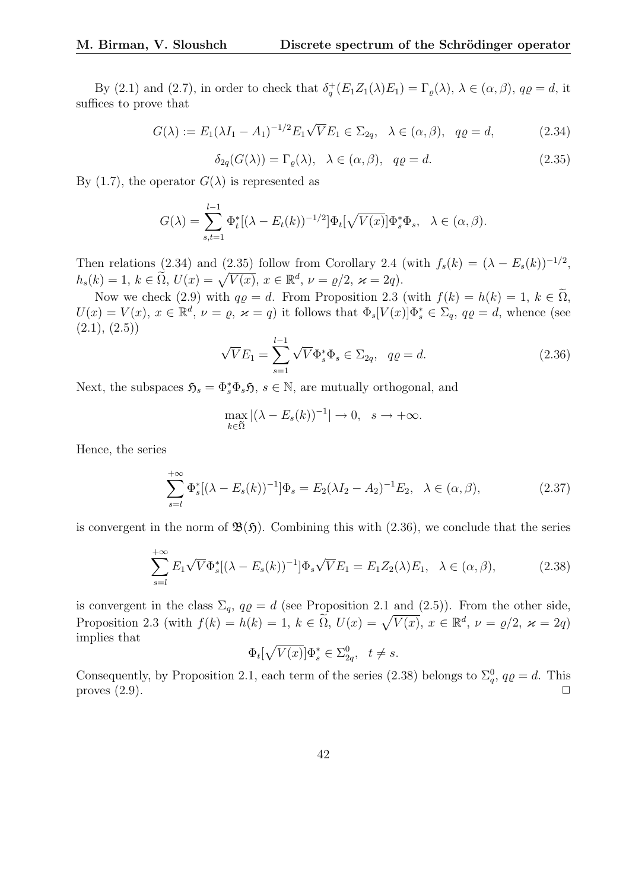By (2.1) and (2.7), in order to check that  $\delta_q^+(E_1Z_1(\lambda)E_1) = \Gamma_\varrho(\lambda), \lambda \in (\alpha, \beta), q\varrho = d$ , it suffices to prove that

$$
G(\lambda) := E_1(\lambda I_1 - A_1)^{-1/2} E_1 \sqrt{V} E_1 \in \Sigma_{2q}, \quad \lambda \in (\alpha, \beta), \quad q\varrho = d,\tag{2.34}
$$

 $\delta_{2a}(G(\lambda)) = \Gamma_a(\lambda), \quad \lambda \in (\alpha, \beta), \quad q\rho = d.$ (2.35)

By (1.7), the operator  $G(\lambda)$  is represented as

$$
G(\lambda) = \sum_{s,t=1}^{l-1} \Phi_t^* [(\lambda - E_t(k))^{-1/2}] \Phi_t[\sqrt{V(x)}] \Phi_s^* \Phi_s, \quad \lambda \in (\alpha, \beta).
$$

Then relations (2.34) and (2.35) follow from Corollary 2.4 (with  $f_s(k) = (\lambda - E_s(k))^{-1/2}$ , Then relations (2.54) and (2.55) follow from Corollary 2.4 ( $h_s(k) = 1, k \in \tilde{\Omega}, U(x) = \sqrt{V(x)}, x \in \mathbb{R}^d, \nu = \varrho/2, \varkappa = 2q$ ).

Now we check (2.9) with  $q\rho = d$ . From Proposition 2.3 (with  $f(k) = h(k) = 1, k \in \tilde{\Omega}$ ,  $U(x) = V(x)$ ,  $x \in \mathbb{R}^d$ ,  $\nu = \varrho$ ,  $\varkappa = q$ ) it follows that  $\Phi_s[V(x)]\Phi_s^* \in \Sigma_q$ ,  $q\varrho = d$ , whence (see  $(2.1), (2.5)$ 

$$
\sqrt{V}E_1 = \sum_{s=1}^{l-1} \sqrt{V} \Phi_s^* \Phi_s \in \Sigma_{2q}, \quad q\varrho = d. \tag{2.36}
$$

Next, the subspaces  $\mathfrak{H}_s = \Phi_s^* \Phi_s \mathfrak{H}$ ,  $s \in \mathbb{N}$ , are mutually orthogonal, and

$$
\max_{k \in \tilde{\Omega}} |(\lambda - E_s(k))^{-1}| \to 0, \quad s \to +\infty.
$$

Hence, the series

$$
\sum_{s=l}^{+\infty} \Phi_s^* [(\lambda - E_s(k))^{-1}] \Phi_s = E_2 (\lambda I_2 - A_2)^{-1} E_2, \quad \lambda \in (\alpha, \beta), \tag{2.37}
$$

is convergent in the norm of  $\mathfrak{B}(\mathfrak{H})$ . Combining this with (2.36), we conclude that the series

$$
\sum_{s=l}^{+\infty} E_1 \sqrt{V} \Phi_s^* [(\lambda - E_s(k))^{-1}] \Phi_s \sqrt{V} E_1 = E_1 Z_2(\lambda) E_1, \quad \lambda \in (\alpha, \beta), \tag{2.38}
$$

is convergent in the class  $\Sigma_q$ ,  $q\varrho = d$  (see Proposition 2.1 and (2.5)). From the other side, is convergent in the class  $\mathcal{L}_q$ ,  $q\varrho = u$  (see Froposition 2.1 and (2.5)). From the other side,<br>Proposition 2.3 (with  $f(k) = h(k) = 1$ ,  $k \in \tilde{\Omega}$ ,  $U(x) = \sqrt{V(x)}$ ,  $x \in \mathbb{R}^d$ ,  $\nu = \varrho/2$ ,  $\varkappa = 2q$ ) implies that p

$$
\Phi_t[\sqrt{V(x)}]\Phi_s^* \in \Sigma_{2q}^0, \quad t \neq s.
$$

Consequently, by Proposition 2.1, each term of the series (2.38) belongs to  $\Sigma_q^0$ ,  $q\rho = d$ . This proves  $(2.9)$ .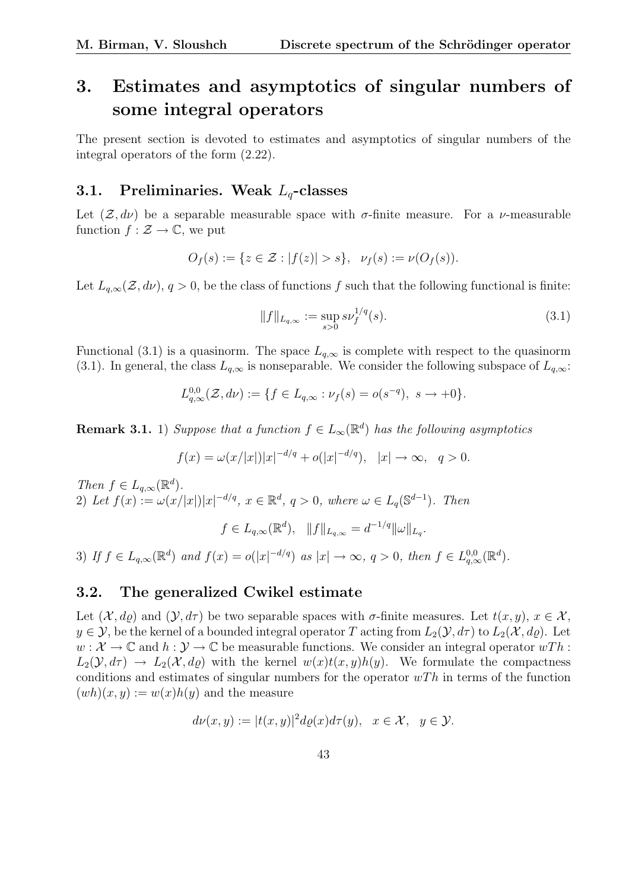# 3. Estimates and asymptotics of singular numbers of some integral operators

The present section is devoted to estimates and asymptotics of singular numbers of the integral operators of the form (2.22).

### 3.1. Preliminaries. Weak  $L<sub>a</sub>$ -classes

Let  $(\mathcal{Z}, d\nu)$  be a separable measurable space with  $\sigma$ -finite measure. For a  $\nu$ -measurable function  $f : \mathcal{Z} \to \mathbb{C}$ , we put

$$
O_f(s) := \{ z \in \mathcal{Z} : |f(z)| > s \}, \ \nu_f(s) := \nu(O_f(s)).
$$

Let  $L_{q,\infty}(\mathcal{Z}, d\nu)$ ,  $q > 0$ , be the class of functions f such that the following functional is finite:

$$
||f||_{L_{q,\infty}} := \sup_{s>0} s\nu_f^{1/q}(s).
$$
 (3.1)

Functional (3.1) is a quasinorm. The space  $L_{q,\infty}$  is complete with respect to the quasinorm (3.1). In general, the class  $L_{a,\infty}$  is nonseparable. We consider the following subspace of  $L_{a,\infty}$ :

$$
L_{q,\infty}^{0,0}(\mathcal{Z},d\nu) := \{ f \in L_{q,\infty} : \nu_f(s) = o(s^{-q}), \ s \to +0 \}.
$$

**Remark 3.1.** 1) Suppose that a function  $f \in L_{\infty}(\mathbb{R}^d)$  has the following asymptotics

$$
f(x) = \omega(x/|x|)|x|^{-d/q} + o(|x|^{-d/q}), \quad |x| \to \infty, \quad q > 0.
$$

Then  $f \in L_{q,\infty}(\mathbb{R}^d)$ . 2) Let  $f(x) := \omega(x/|x|)|x|^{-d/q}, x \in \mathbb{R}^d, q > 0$ , where  $\omega \in L_q(\mathbb{S}^{d-1})$ . Then  $f \in L_{q,\infty}(\mathbb{R}^d), \quad ||f||_{L_{q,\infty}} = d^{-1/q} ||\omega||_{L_q}.$ 

3) If  $f \in L_{q,\infty}(\mathbb{R}^d)$  and  $f(x) = o(|x|^{-d/q})$  as  $|x| \to \infty$ ,  $q > 0$ , then  $f \in L_{q,\infty}^{0,0}(\mathbb{R}^d)$ .

### 3.2. The generalized Cwikel estimate

Let  $(\mathcal{X}, d\rho)$  and  $(\mathcal{Y}, d\tau)$  be two separable spaces with  $\sigma$ -finite measures. Let  $t(x, y), x \in \mathcal{X}$ ,  $y \in \mathcal{Y}$ , be the kernel of a bounded integral operator T acting from  $L_2(\mathcal{Y}, d\tau)$  to  $L_2(\mathcal{X}, d\rho)$ . Let  $w: \mathcal{X} \to \mathbb{C}$  and  $h: \mathcal{Y} \to \mathbb{C}$  be measurable functions. We consider an integral operator  $wTh$ :  $L_2(\mathcal{Y}, d\tau) \to L_2(\mathcal{X}, d\rho)$  with the kernel  $w(x)t(x, y)h(y)$ . We formulate the compactness conditions and estimates of singular numbers for the operator  $wTh$  in terms of the function  $(wh)(x, y) := w(x)h(y)$  and the measure

$$
d\nu(x,y) := |t(x,y)|^2 d\varrho(x) d\tau(y), \quad x \in \mathcal{X}, \quad y \in \mathcal{Y}.
$$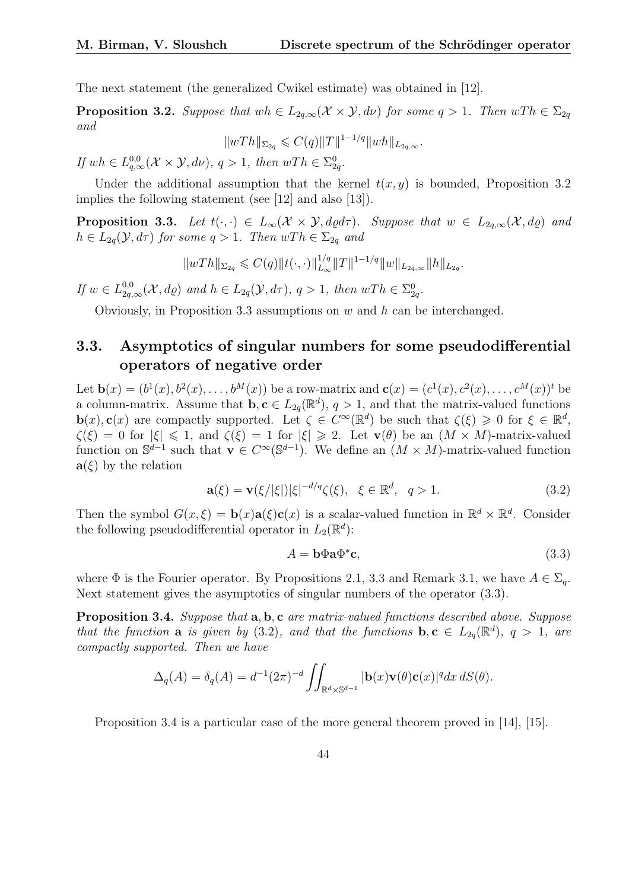The next statement (the generalized Cwikel estimate) was obtained in [12].

**Proposition 3.2.** Suppose that wh  $\in L_{2a,\infty}(\mathcal{X} \times \mathcal{Y}, d\nu)$  for some  $q > 1$ . Then  $wTh \in \Sigma_{2a}$ and

$$
||wTh||_{\Sigma_{2q}} \leqslant C(q)||T||^{1-1/q}||wh||_{L_{2q,\infty}}.
$$

If  $wh \in L^{0,0}_{q,\infty}(\mathcal{X} \times \mathcal{Y}, d\nu)$ ,  $q > 1$ , then  $wTh \in \Sigma^0_{2q}$ .

Under the additional assumption that the kernel  $t(x, y)$  is bounded, Proposition 3.2 implies the following statement (see [12] and also [13]).

**Proposition 3.3.** Let  $t(\cdot, \cdot) \in L_{\infty}(\mathcal{X} \times \mathcal{Y}, d\rho d\tau)$ . Suppose that  $w \in L_{2q,\infty}(\mathcal{X}, d\rho)$  and  $h \in L_{2q}(\mathcal{Y}, d\tau)$  for some  $q > 1$ . Then  $wTh \in \Sigma_{2q}$  and

$$
||wTh||_{\Sigma_{2q}} \leqslant C(q)||t(\cdot,\cdot)||_{L_{\infty}}^{1/q} ||T||^{1-1/q} ||w||_{L_{2q,\infty}} ||h||_{L_{2q}}.
$$

If  $w \in L_{2q,\infty}^{0,0}(\mathcal{X},d\rho)$  and  $h \in L_{2q}(\mathcal{Y},d\tau)$ ,  $q>1$ , then  $wTh \in \Sigma_{2q}^0$ .

Obviously, in Proposition 3.3 assumptions on  $w$  and  $h$  can be interchanged.

### 3.3. Asymptotics of singular numbers for some pseudodifferential operators of negative order

Let  $\mathbf{b}(x) = (b^1(x), b^2(x), \ldots, b^M(x))$  be a row-matrix and  $\mathbf{c}(x) = (c^1(x), c^2(x), \ldots, c^M(x))^t$  be a column-matrix. Assume that  $\mathbf{b}, \mathbf{c} \in L_{2q}(\mathbb{R}^d), q > 1$ , and that the matrix-valued functions  $\mathbf{b}(x), \mathbf{c}(x)$  are compactly supported. Let  $\zeta \in C^{\infty}(\mathbb{R}^d)$  be such that  $\zeta(\xi) \geq 0$  for  $\xi \in \mathbb{R}^d$ ,  $\zeta(\xi) = 0$  for  $|\xi| \leq 1$ , and  $\zeta(\xi) = 1$  for  $|\xi| \geq 2$ . Let  $\mathbf{v}(\theta)$  be an  $(M \times M)$ -matrix-valued function on  $\mathbb{S}^{d-1}$  such that  $\mathbf{v} \in C^{\infty}(\mathbb{S}^{d-1})$ . We define an  $(M \times M)$ -matrix-valued function  $\mathbf{a}(\xi)$  by the relation

$$
\mathbf{a}(\xi) = \mathbf{v}(\xi/|\xi|) |\xi|^{-d/q} \zeta(\xi), \ \xi \in \mathbb{R}^d, \ q > 1.
$$
 (3.2)

Then the symbol  $G(x,\xi) = \mathbf{b}(x)\mathbf{a}(\xi)\mathbf{c}(x)$  is a scalar-valued function in  $\mathbb{R}^d \times \mathbb{R}^d$ . Consider the following pseudodifferential operator in  $L_2(\mathbb{R}^d)$ :

$$
A = \mathbf{b} \Phi \mathbf{a} \Phi^* \mathbf{c},\tag{3.3}
$$

where  $\Phi$  is the Fourier operator. By Propositions 2.1, 3.3 and Remark 3.1, we have  $A \in \Sigma_q$ . Next statement gives the asymptotics of singular numbers of the operator (3.3).

Proposition 3.4. Suppose that a, b, c are matrix-valued functions described above. Suppose that the function **a** is given by (3.2), and that the functions  $\mathbf{b}, \mathbf{c} \in L_{2q}(\mathbb{R}^d)$ ,  $q > 1$ , are compactly supported. Then we have

$$
\Delta_q(A) = \delta_q(A) = d^{-1}(2\pi)^{-d} \iint_{\mathbb{R}^d \times \mathbb{S}^{d-1}} |\mathbf{b}(x)\mathbf{v}(\theta)\mathbf{c}(x)|^q dx \, dS(\theta).
$$

Proposition 3.4 is a particular case of the more general theorem proved in [14], [15].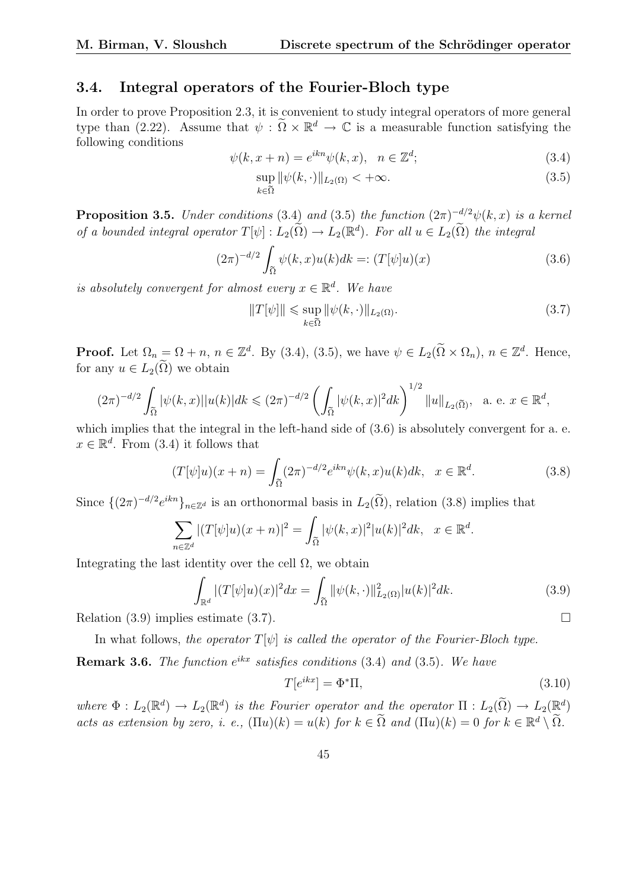### 3.4. Integral operators of the Fourier-Bloch type

In order to prove Proposition 2.3, it is convenient to study integral operators of more general type than (2.22). Assume that  $\psi : \tilde{\Omega} \times \mathbb{R}^d \to \mathbb{C}$  is a measurable function satisfying the following conditions

$$
\psi(k, x + n) = e^{ikn}\psi(k, x), \quad n \in \mathbb{Z}^d; \tag{3.4}
$$

$$
\sup_{k \in \tilde{\Omega}} \|\psi(k, \cdot)\|_{L_2(\Omega)} < +\infty. \tag{3.5}
$$

**Proposition 3.5.** Under conditions (3.4) and (3.5) the function  $(2\pi)^{-d/2}\psi(k, x)$  is a kernel of a bounded integral operator  $T[\psi]: L_2(\tilde{\Omega}) \to L_2(\mathbb{R}^d)$ . For all  $u \in L_2(\tilde{\Omega})$  the integral

$$
(2\pi)^{-d/2} \int_{\tilde{\Omega}} \psi(k, x) u(k) dk =: (T[\psi]u)(x)
$$
\n(3.6)

is absolutely convergent for almost every  $x \in \mathbb{R}^d$ . We have

$$
||T[\psi]|| \leq \sup_{k \in \tilde{\Omega}} ||\psi(k, \cdot)||_{L_2(\Omega)}.
$$
\n(3.7)

**Proof.** Let  $\Omega_n = \Omega + n$ ,  $n \in \mathbb{Z}^d$ . By (3.4), (3.5), we have  $\psi \in L_2(\tilde{\Omega} \times \Omega_n)$ ,  $n \in \mathbb{Z}^d$ . Hence, for any  $u \in L_2(\Omega)$  we obtain

$$
(2\pi)^{-d/2}\int_{\widetilde{\Omega}}|\psi(k,x)||u(k)|dk\leqslant (2\pi)^{-d/2}\left(\int_{\widetilde{\Omega}}|\psi(k,x)|^2dk\right)^{1/2}\|u\|_{L_2(\widetilde{\Omega})},\quad \text{a. e. }x\in\mathbb{R}^d,
$$

which implies that the integral in the left-hand side of  $(3.6)$  is absolutely convergent for a. e.  $x \in \mathbb{R}^d$ . From (3.4) it follows that

$$
(T[\psi]u)(x+n) = \int_{\tilde{\Omega}} (2\pi)^{-d/2} e^{ikn} \psi(k,x) u(k) dk, \quad x \in \mathbb{R}^d.
$$
 (3.8)

Since  $\{(2\pi)^{-d/2}e^{ikn}\}_{n\in\mathbb{Z}^d}$  is an orthonormal basis in  $L_2(\tilde{\Omega})$ , relation (3.8) implies that

$$
\sum_{n\in\mathbb{Z}^d} |(T[\psi]u)(x+n)|^2 = \int_{\tilde{\Omega}} |\psi(k,x)|^2 |u(k)|^2 dk, \quad x \in \mathbb{R}^d.
$$

Integrating the last identity over the cell  $\Omega$ , we obtain  $\overline{\phantom{a}}$ 

$$
\int_{\mathbb{R}^d} |(T[\psi]u)(x)|^2 dx = \int_{\tilde{\Omega}} |\psi(k,\cdot)||^2_{L_2(\Omega)} |u(k)|^2 dk.
$$
\n(3.9)

Relation (3.9) implies estimate (3.7).  $\Box$ 

In what follows, the operator  $T[\psi]$  is called the operator of the Fourier-Bloch type.

**Remark 3.6.** The function  $e^{ikx}$  satisfies conditions (3.4) and (3.5). We have

$$
T[e^{ikx}] = \Phi^* \Pi,\tag{3.10}
$$

where  $\Phi: L_2(\mathbb{R}^d) \to L_2(\mathbb{R}^d)$  is the Fourier operator and the operator  $\Pi: L_2(\tilde{\Omega}) \to L_2(\mathbb{R}^d)$ acts as extension by zero, i. e.,  $(\Pi u)(k) = u(k)$  for  $k \in \tilde{\Omega}$  and  $(\Pi u)(k) = 0$  for  $k \in \mathbb{R}^d \setminus \tilde{\Omega}$ .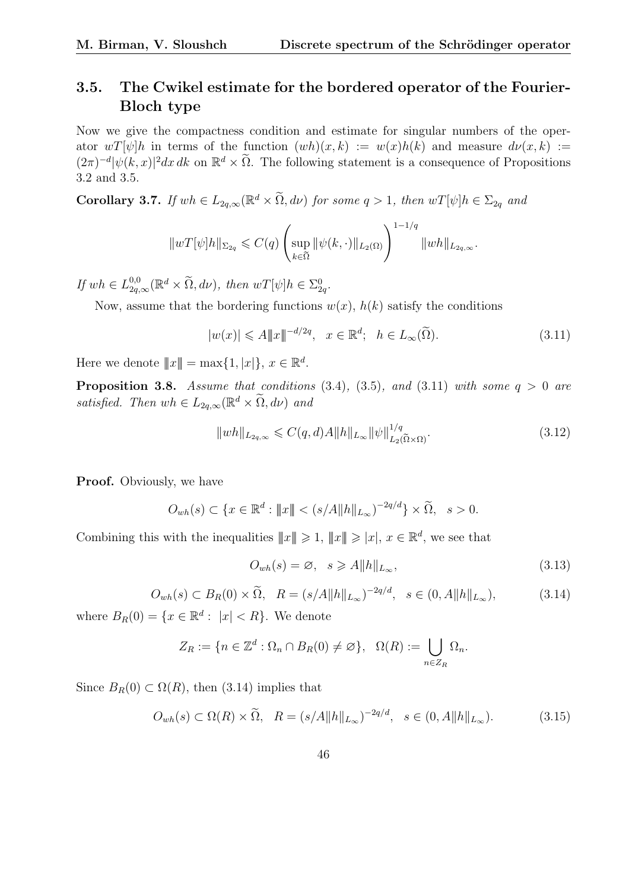## 3.5. The Cwikel estimate for the bordered operator of the Fourier-Bloch type

Now we give the compactness condition and estimate for singular numbers of the operator  $wT[\psi]h$  in terms of the function  $(wh)(x, k) := w(x)h(k)$  and measure  $d\nu(x, k) :=$  $(2\pi)^{-d} |\psi(k, x)|^2 dx dk$  on  $\mathbb{R}^d \times \tilde{\Omega}$ . The following statement is a consequence of Propositions 3.2 and 3.5.

**Corollary 3.7.** If  $wh \in L_{2q,\infty}(\mathbb{R}^d \times \tilde{\Omega}, d\nu)$  for some  $q > 1$ , then  $wT[\psi]h \in \Sigma_{2q}$  and

$$
||wT[\psi]h||_{\Sigma_{2q}} \leq C(q) \left( \sup_{k \in \tilde{\Omega}} ||\psi(k, \cdot)||_{L_2(\Omega)} \right)^{1-1/q} ||wh||_{L_{2q,\infty}}.
$$

If  $wh \in L_{2q,\infty}^{0,0}(\mathbb{R}^d \times \tilde{\Omega}, d\nu)$ , then  $wT[\psi]h \in \Sigma_{2q}^0$ .

Now, assume that the bordering functions  $w(x)$ ,  $h(k)$  satisfy the conditions

$$
|w(x)| \leqslant A \|x\|^{-d/2q}, \quad x \in \mathbb{R}^d; \quad h \in L_\infty(\widetilde{\Omega}).\tag{3.11}
$$

Here we denote  $||x|| = \max\{1, |x|\}, x \in \mathbb{R}^d$ .

**Proposition 3.8.** Assume that conditions  $(3.4)$ ,  $(3.5)$ , and  $(3.11)$  with some  $q > 0$  are satisfied. Then  $wh \in L_{2q,\infty}(\mathbb{R}^d \times \tilde{\Omega}, d\nu)$  and

$$
||wh||_{L_{2q,\infty}} \leqslant C(q,d)A||h||_{L_{\infty}}||\psi||_{L_2(\widetilde{\Omega}\times\Omega)}^{1/q}.
$$
\n(3.12)

Proof. Obviously, we have

$$
O_{wh}(s) \subset \{x \in \mathbb{R}^d : ||x|| < (s/A||h||_{L_{\infty}})^{-2q/d}\} \times \widetilde{\Omega}, \quad s > 0.
$$

Combining this with the inequalities  $||x|| \geq 1$ ,  $||x|| \geq |x|$ ,  $x \in \mathbb{R}^d$ , we see that

$$
O_{wh}(s) = \varnothing, \quad s \ge A \|h\|_{L_{\infty}}, \tag{3.13}
$$

$$
O_{wh}(s) \subset B_R(0) \times \widetilde{\Omega}, \quad R = (s/A \Vert h \Vert_{L_{\infty}})^{-2q/d}, \quad s \in (0, A \Vert h \Vert_{L_{\infty}}), \tag{3.14}
$$

where  $B_R(0) = \{x \in \mathbb{R}^d : |x| < R\}$ . We denote

$$
Z_R := \{ n \in \mathbb{Z}^d : \Omega_n \cap B_R(0) \neq \emptyset \}, \ \Omega(R) := \bigcup_{n \in Z_R} \Omega_n.
$$

Since  $B_R(0) \subset \Omega(R)$ , then (3.14) implies that

$$
O_{wh}(s) \subset \Omega(R) \times \widetilde{\Omega}, \quad R = (s/A||h||_{L_{\infty}})^{-2q/d}, \quad s \in (0, A||h||_{L_{\infty}}). \tag{3.15}
$$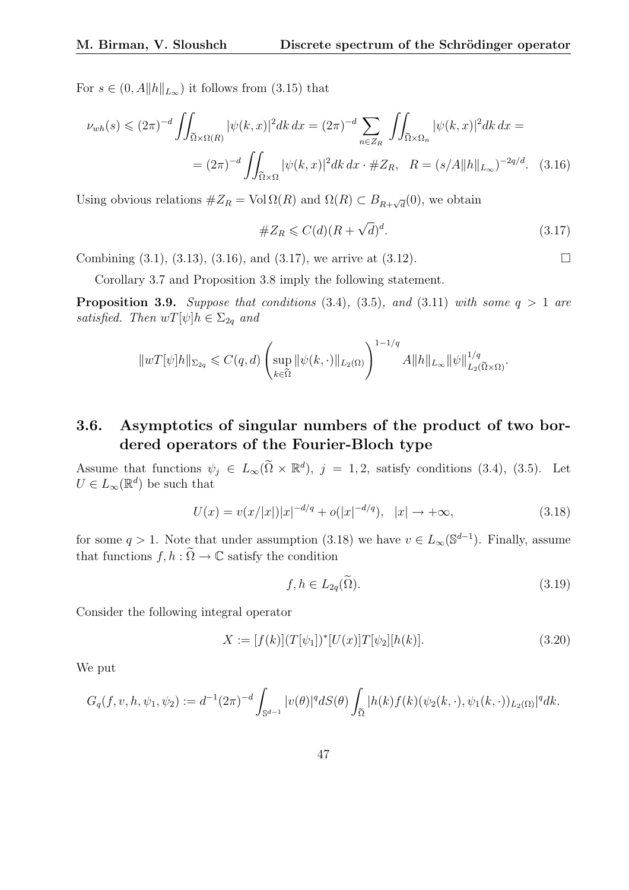For  $s \in (0, A||h||_{L_{\infty}})$  it follows from  $(3.15)$  that

$$
\nu_{wh}(s) \le (2\pi)^{-d} \iint_{\tilde{\Omega} \times \Omega(R)} |\psi(k, x)|^2 dk \, dx = (2\pi)^{-d} \sum_{n \in Z_R} \iint_{\tilde{\Omega} \times \Omega_n} |\psi(k, x)|^2 dk \, dx =
$$
  
=  $(2\pi)^{-d} \iint_{\tilde{\Omega} \times \Omega} |\psi(k, x)|^2 dk \, dx \cdot \#Z_R, \quad R = (s/A ||h||_{L_{\infty}})^{-2q/d}.$  (3.16)

Using obvious relations  $\#Z_R = \text{Vol}\,\Omega(R)$  and  $\Omega(R) \subset B_{R+\sqrt{d}}(0)$ , we obtain

#Z<sup>R</sup> 6 C(d)(R + √ d) d . (3.17)

Combining  $(3.1)$ ,  $(3.13)$ ,  $(3.16)$ , and  $(3.17)$ , we arrive at  $(3.12)$ .

Corollary 3.7 and Proposition 3.8 imply the following statement.

**Proposition 3.9.** Suppose that conditions  $(3.4)$ ,  $(3.5)$ , and  $(3.11)$  with some  $q > 1$  are satisfied. Then  $wT[\psi]h \in \Sigma_{2q}$  and

$$
||wT[\psi]h||_{\Sigma_{2q}} \leqslant C(q,d)\left(\sup_{k\in \tilde{\Omega}}||\psi(k,\cdot)||_{L_2(\Omega)}\right)^{1-1/q}A||h||_{L_\infty}||\psi||_{L_2(\tilde{\Omega}\times \Omega)}^{1/q}.
$$

## 3.6. Asymptotics of singular numbers of the product of two bordered operators of the Fourier-Bloch type

Assume that functions  $\psi_j \in L_\infty(\tilde{\Omega} \times \mathbb{R}^d)$ ,  $j = 1, 2$ , satisfy conditions (3.4), (3.5). Let  $U \in L_{\infty}(\mathbb{R}^d)$  be such that

$$
U(x) = v(x/|x|)|x|^{-d/q} + o(|x|^{-d/q}), \quad |x| \to +\infty,
$$
\n(3.18)

for some  $q > 1$ . Note that under assumption (3.18) we have  $v \in L_{\infty}(\mathbb{S}^{d-1})$ . Finally, assume that functions  $f, h : \widetilde{\Omega} \to \mathbb{C}$  satisfy the condition

$$
f, h \in L_{2q}(\tilde{\Omega}).\tag{3.19}
$$

Consider the following integral operator

$$
X := [f(k)](T[\psi_1])^*[U(x)]T[\psi_2][h(k)].
$$
\n(3.20)

We put

$$
G_q(f, v, h, \psi_1, \psi_2) := d^{-1} (2\pi)^{-d} \int_{\mathbb{S}^{d-1}} |v(\theta)|^q dS(\theta) \int_{\widetilde{\Omega}} |h(k) f(k) (\psi_2(k, \cdot), \psi_1(k, \cdot))_{L_2(\Omega)}|^q dk.
$$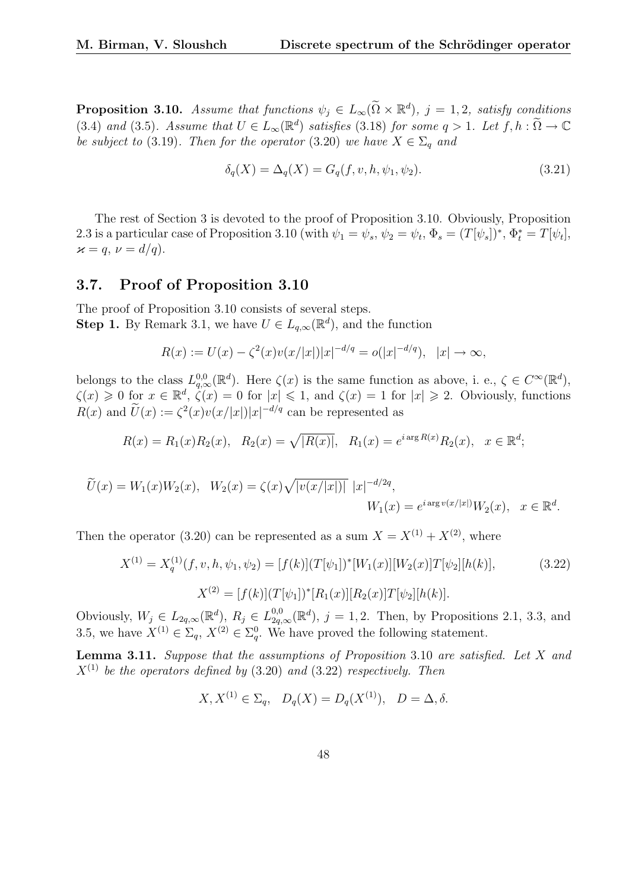**Proposition 3.10.** Assume that functions  $\psi_j \in L_\infty(\widetilde{\Omega} \times \mathbb{R}^d)$ ,  $j = 1, 2$ , satisfy conditions (3.4) and (3.5). Assume that  $U \in L_{\infty}(\mathbb{R}^d)$  satisfies (3.18) for some  $q > 1$ . Let  $f, h : \widetilde{\Omega} \to \mathbb{C}$ be subject to (3.19). Then for the operator (3.20) we have  $X \in \Sigma_q$  and

$$
\delta_q(X) = \Delta_q(X) = G_q(f, v, h, \psi_1, \psi_2).
$$
\n(3.21)

The rest of Section 3 is devoted to the proof of Proposition 3.10. Obviously, Proposition 2.3 is a particular case of Proposition 3.10 (with  $\psi_1 = \psi_s$ ,  $\psi_2 = \psi_t$ ,  $\Phi_s = (T[\psi_s])^*, \Phi_t^* = T[\psi_t],$  $\varkappa = q, \nu = d/q.$ 

### 3.7. Proof of Proposition 3.10

The proof of Proposition 3.10 consists of several steps. **Step 1.** By Remark 3.1, we have  $U \in L_{q,\infty}(\mathbb{R}^d)$ , and the function

$$
R(x) := U(x) - \zeta^{2}(x)v(x/|x|)|x|^{-d/q} = o(|x|^{-d/q}), \quad |x| \to \infty,
$$

belongs to the class  $L^{0,0}_{q,\infty}(\mathbb{R}^d)$ . Here  $\zeta(x)$  is the same function as above, i. e.,  $\zeta \in C^{\infty}(\mathbb{R}^d)$ ,  $\zeta(x) \geq 0$  for  $x \in \mathbb{R}^d$ ,  $\dot{\zeta}(x) = 0$  for  $|x| \leq 1$ , and  $\zeta(x) = 1$  for  $|x| \geq 2$ . Obviously, functions  $R(x)$  and  $\widetilde{U}(x) := \zeta^2(x)v(x/|x|)|x|^{-d/q}$  can be represented as

$$
R(x) = R_1(x)R_2(x), \quad R_2(x) = \sqrt{|R(x)|}, \quad R_1(x) = e^{i \arg R(x)} R_2(x), \quad x \in \mathbb{R}^d;
$$

$$
\widetilde{U}(x) = W_1(x)W_2(x), \quad W_2(x) = \zeta(x)\sqrt{|v(x/|x|)|} \quad |x|^{-d/2q},
$$
\n
$$
W_1(x) = e^{i \arg v(x/|x|)}W_2(x), \quad x \in \mathbb{R}^d.
$$

Then the operator (3.20) can be represented as a sum  $X = X^{(1)} + X^{(2)}$ , where

$$
X^{(1)} = X_q^{(1)}(f, v, h, \psi_1, \psi_2) = [f(k)](T[\psi_1])^*[W_1(x)][W_2(x)]T[\psi_2][h(k)],
$$
\n
$$
X^{(2)} = [f(k)](T[\psi_1])^*[R_1(x)][R_2(x)]T[\psi_2][h(k)].
$$
\n(3.22)

Obviously,  $W_j \in L_{2q,\infty}(\mathbb{R}^d)$ ,  $R_j \in L_{2q,\infty}^{0,0}(\mathbb{R}^d)$ ,  $j=1,2$ . Then, by Propositions 2.1, 3.3, and 3.5, we have  $X^{(1)} \in \Sigma_q$ ,  $X^{(2)} \in \Sigma_q^0$ . We have proved the following statement.

**Lemma 3.11.** Suppose that the assumptions of Proposition 3.10 are satisfied. Let  $X$  and  $X^{(1)}$  be the operators defined by (3.20) and (3.22) respectively. Then

$$
X, X^{(1)} \in \Sigma_q
$$
,  $D_q(X) = D_q(X^{(1)})$ ,  $D = \Delta, \delta$ .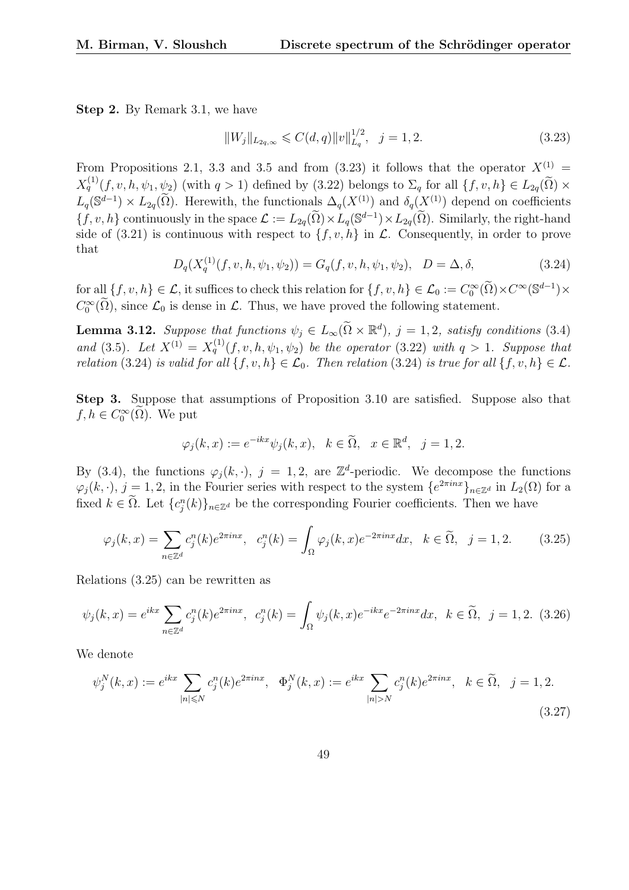Step 2. By Remark 3.1, we have

$$
||W_j||_{L_{2q,\infty}} \leqslant C(d,q)||v||_{L_q}^{1/2}, \quad j=1,2. \tag{3.23}
$$

From Propositions 2.1, 3.3 and 3.5 and from (3.23) it follows that the operator  $X^{(1)}$  =  $X_q^{(1)}(f, v, h, \psi_1, \psi_2)$  (with  $q > 1$ ) defined by (3.22) belongs to  $\Sigma_q$  for all  $\{f, v, h\} \in L_{2q}(\widetilde{\Omega}) \times$  $L_q(\mathbb{S}^{d-1}) \times L_{2q}(\tilde{\Omega})$ . Herewith, the functionals  $\Delta_q(X^{(1)})$  and  $\delta_q(X^{(1)})$  depend on coefficients  $\{f, v, h\}$  continuously in the space  $\mathcal{L} := L_{2q}(\tilde{\Omega}) \times L_q(\mathbb{S}^{d-1}) \times L_{2q}(\tilde{\Omega})$ . Similarly, the right-hand side of (3.21) is continuous with respect to  $\{f, v, h\}$  in  $\mathcal{L}$ . Consequently, in order to prove that

$$
D_q(X_q^{(1)}(f, v, h, \psi_1, \psi_2)) = G_q(f, v, h, \psi_1, \psi_2), \quad D = \Delta, \delta,
$$
\n(3.24)

for all  $\{f, v, h\} \in \mathcal{L}$ , it suffices to check this relation for  $\{f, v, h\} \in \mathcal{L}_0 := C_0^{\infty}(\widetilde{\Omega}) \times C^{\infty}(\mathbb{S}^{d-1}) \times$  $C_0^{\infty}(\tilde{\Omega})$ , since  $\mathcal{L}_0$  is dense in  $\mathcal{L}$ . Thus, we have proved the following statement.

**Lemma 3.12.** Suppose that functions  $\psi_j \in L_\infty(\tilde{\Omega} \times \mathbb{R}^d)$ ,  $j = 1, 2$ , satisfy conditions (3.4) and (3.5). Let  $X^{(1)} = X_q^{(1)}(f, v, h, \psi_1, \psi_2)$  be the operator (3.22) with  $q > 1$ . Suppose that relation (3.24) is valid for all  $\{f, v, h\} \in \mathcal{L}_0$ . Then relation (3.24) is true for all  $\{f, v, h\} \in \mathcal{L}$ .

Step 3. Suppose that assumptions of Proposition 3.10 are satisfied. Suppose also that  $f, h \in C_0^{\infty}(\widetilde{\Omega})$ . We put

$$
\varphi_j(k, x) := e^{-ikx} \psi_j(k, x), \quad k \in \tilde{\Omega}, \quad x \in \mathbb{R}^d, \quad j = 1, 2.
$$

By (3.4), the functions  $\varphi_j(k, \cdot)$ ,  $j = 1, 2$ , are  $\mathbb{Z}^d$ -periodic. We decompose the functions  $\varphi_j(k, \cdot), j = 1, 2$ , in the Fourier series with respect to the system  $\{e^{2\pi i n x}\}_{n \in \mathbb{Z}^d}$  in  $L_2(\Omega)$  for a fixed  $k \in \tilde{\Omega}$ . Let  ${c_j^n(k)}_{n \in \mathbb{Z}^d}$  be the corresponding Fourier coefficients. Then we have

$$
\varphi_j(k,x) = \sum_{n \in \mathbb{Z}^d} c_j^n(k) e^{2\pi i nx}, \quad c_j^n(k) = \int_{\Omega} \varphi_j(k,x) e^{-2\pi i nx} dx, \quad k \in \widetilde{\Omega}, \quad j = 1, 2. \tag{3.25}
$$

Relations (3.25) can be rewritten as

$$
\psi_j(k, x) = e^{ikx} \sum_{n \in \mathbb{Z}^d} c_j^n(k) e^{2\pi i n x}, \ c_j^n(k) = \int_{\Omega} \psi_j(k, x) e^{-ikx} e^{-2\pi i n x} dx, \ k \in \widetilde{\Omega}, \ j = 1, 2. \tag{3.26}
$$

We denote

$$
\psi_j^N(k, x) := e^{ikx} \sum_{|n| \le N} c_j^n(k) e^{2\pi i n x}, \quad \Phi_j^N(k, x) := e^{ikx} \sum_{|n| > N} c_j^n(k) e^{2\pi i n x}, \quad k \in \tilde{\Omega}, \quad j = 1, 2.
$$
\n(3.27)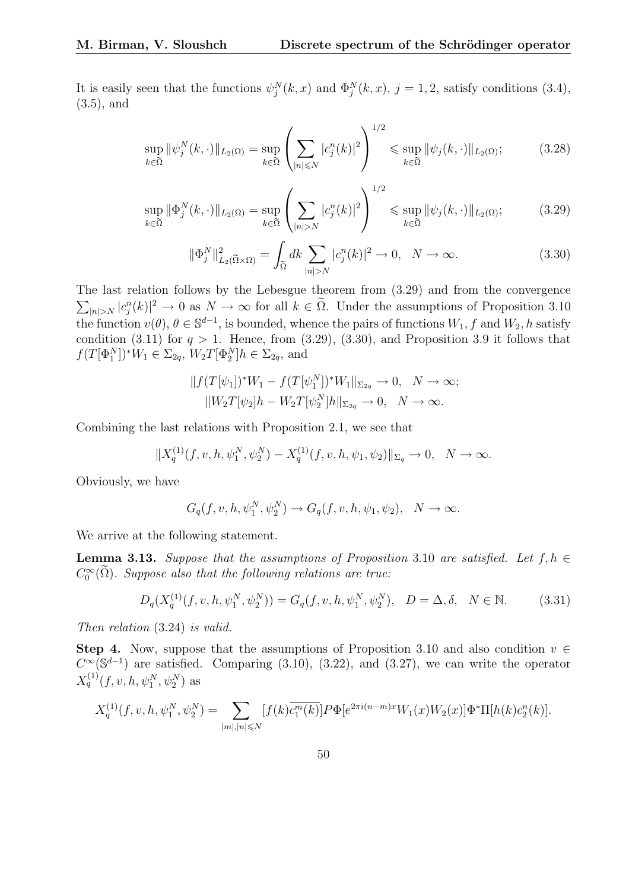It is easily seen that the functions  $\psi_j^N(k, x)$  and  $\Phi_j^N(k, x)$ ,  $j = 1, 2$ , satisfy conditions (3.4), (3.5), and

$$
\sup_{k \in \tilde{\Omega}} \|\psi_j^N(k, \cdot)\|_{L_2(\Omega)} = \sup_{k \in \tilde{\Omega}} \left( \sum_{|n| \le N} |c_j^n(k)|^2 \right)^{1/2} \le \sup_{k \in \tilde{\Omega}} \|\psi_j(k, \cdot)\|_{L_2(\Omega)};
$$
\n(3.28)

$$
\sup_{k \in \tilde{\Omega}} \|\Phi_j^N(k, \cdot)\|_{L_2(\Omega)} = \sup_{k \in \tilde{\Omega}} \left( \sum_{|n| > N} |c_j^n(k)|^2 \right)^{1/2} \leq \sup_{k \in \tilde{\Omega}} \|\psi_j(k, \cdot)\|_{L_2(\Omega)};
$$
 (3.29)

$$
\|\Phi_j^N\|_{L_2(\tilde{\Omega}\times\Omega)}^2 = \int_{\tilde{\Omega}} dk \sum_{|n|>N} |c_j^n(k)|^2 \to 0, \quad N \to \infty.
$$
 (3.30)

The last relation follows by the Lebesgue theorem from (3.29) and from the convergence  $\overline{11}$  $|n|>N$   $|c_j^n(k)|^2 \to 0$  as  $N \to \infty$  for all  $k \in \tilde{\Omega}$ . Under the assumptions of Proposition 3.10 the function  $v(\theta)$ ,  $\theta \in \mathbb{S}^{d-1}$ , is bounded, whence the pairs of functions  $W_1$ , f and  $W_2$ , h satisfy condition (3.11) for  $q > 1$ . Hence, from (3.29), (3.30), and Proposition 3.9 it follows that  $f(T[\Phi_1^N])^*W_1 \in \Sigma_{2q}, W_2T[\Phi_2^N]h \in \Sigma_{2q}$ , and

$$
||f(T[\psi_1])^*W_1 - f(T[\psi_1^N])^*W_1||_{\Sigma_{2q}} \to 0, \quad N \to \infty;
$$
  

$$
||W_2T[\psi_2]h - W_2T[\psi_2^N]h||_{\Sigma_{2q}} \to 0, \quad N \to \infty.
$$

Combining the last relations with Proposition 2.1, we see that

$$
||X_q^{(1)}(f, v, h, \psi_1^N, \psi_2^N) - X_q^{(1)}(f, v, h, \psi_1, \psi_2)||_{\Sigma_q} \to 0, \quad N \to \infty.
$$

Obviously, we have

$$
G_q(f, v, h, \psi_1^N, \psi_2^N) \to G_q(f, v, h, \psi_1, \psi_2), \quad N \to \infty.
$$

We arrive at the following statement.

**Lemma 3.13.** Suppose that the assumptions of Proposition 3.10 are satisfied. Let  $f, h \in$  $C_0^{\infty}(\widetilde{\Omega})$ . Suppose also that the following relations are true:

$$
D_q(X_q^{(1)}(f, v, h, \psi_1^N, \psi_2^N)) = G_q(f, v, h, \psi_1^N, \psi_2^N), \quad D = \Delta, \delta, \quad N \in \mathbb{N}.
$$
 (3.31)

Then relation (3.24) is valid.

Step 4. Now, suppose that the assumptions of Proposition 3.10 and also condition  $v \in$  $C^{\infty}(\mathbb{S}^{d-1})$  are satisfied. Comparing (3.10), (3.22), and (3.27), we can write the operator  $X_q^{(1)}(f, v, h, \psi_1^N, \psi_2^N)$  as

$$
X_q^{(1)}(f, v, h, \psi_1^N, \psi_2^N) = \sum_{|m|, |n| \leq N} [f(k)\overline{c_1^m(k)}] P \Phi[e^{2\pi i (n-m)x} W_1(x) W_2(x)] \Phi^* \Pi[h(k)c_2^n(k)].
$$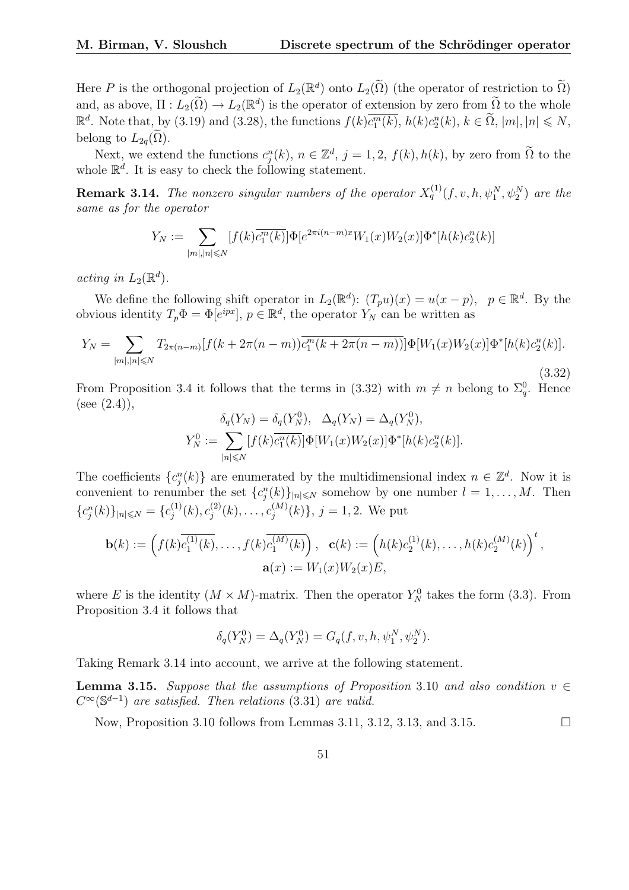Here P is the orthogonal projection of  $L_2(\mathbb{R}^d)$  onto  $L_2(\tilde{\Omega})$  (the operator of restriction to  $\tilde{\Omega}$ ) and, as above,  $\Pi: L_2(\tilde{\Omega}) \to L_2(\mathbb{R}^d)$  is the operator of extension by zero from  $\tilde{\Omega}$  to the whole  $\mathbb{R}^d$ . Note that, by (3.19) and (3.28), the functions  $f(k)\overline{c_1^m(k)}$ ,  $h(k)c_2^n(k)$ ,  $k \in \tilde{\Omega}$ ,  $|m|, |n| \le N$ , belong to  $L_{2q}(\Omega)$ .

Next, we extend the functions  $c_j^n(k)$ ,  $n \in \mathbb{Z}^d$ ,  $j = 1, 2$ ,  $f(k)$ ,  $h(k)$ , by zero from  $\widetilde{\Omega}$  to the whole  $\mathbb{R}^d$ . It is easy to check the following statement.

**Remark 3.14.** The nonzero singular numbers of the operator  $X_q^{(1)}(f, v, h, \psi_1^N, \psi_2^N)$  are the same as for the operator

$$
Y_N := \sum_{|m|, |n| \leq N} [f(k)\overline{c_1^m(k)}] \Phi[e^{2\pi i (n-m)x} W_1(x) W_2(x)] \Phi^*[h(k)c_2^n(k)]
$$

acting in  $L_2(\mathbb{R}^d)$ .

We define the following shift operator in  $L_2(\mathbb{R}^d)$ :  $(T_p u)(x) = u(x - p)$ ,  $p \in \mathbb{R}^d$ . By the obvious identity  $T_p \Phi = \Phi[e^{ipx}], p \in \mathbb{R}^d$ , the operator  $Y_N$  can be written as

$$
Y_N = \sum_{|m|,|n| \le N} T_{2\pi(n-m)} [f(k+2\pi(n-m)) \overline{c_1^m(k+2\pi(n-m))}] \Phi[W_1(x) W_2(x)] \Phi^*[h(k) c_2^n(k)].
$$
\n(3.32)

From Proposition 3.4 it follows that the terms in (3.32) with  $m \neq n$  belong to  $\Sigma_q^0$ . Hence  $(see (2.4)),$ 

$$
\delta_q(Y_N) = \delta_q(Y_N^0), \quad \Delta_q(Y_N) = \Delta_q(Y_N^0),
$$
  

$$
Y_N^0 := \sum_{|n| \leq N} [f(k)\overline{c_1^n(k)}] \Phi[W_1(x)W_2(x)] \Phi^*[h(k)c_2^n(k)].
$$

The coefficients  $\{c_j^n(k)\}\$ are enumerated by the multidimensional index  $n \in \mathbb{Z}^d$ . Now it is convenient to renumber the set  ${c_j^n(k)}_{|n| \leq N}$  somehow by one number  $l = 1, \ldots, M$ . Then  ${c_j^n(k)}_{|n| \leq N} = {c_j^{(1)}}$  $j^{(1)}(k), c_j^{(2)}$  $j^{(2)}(k), \ldots, c_j^{(M)}$  $j^{(M)}(k)$ ,  $j = 1, 2$ . We put

$$
\mathbf{b}(k) := \left( f(k) \overline{c_1^{(1)}(k)}, \dots, f(k) \overline{c_1^{(M)}(k)} \right), \quad \mathbf{c}(k) := \left( h(k) c_2^{(1)}(k), \dots, h(k) c_2^{(M)}(k) \right)^t,
$$

$$
\mathbf{a}(x) := W_1(x) W_2(x) E,
$$

where E is the identity  $(M \times M)$ -matrix. Then the operator  $Y_N^0$  takes the form (3.3). From Proposition 3.4 it follows that

$$
\delta_q(Y_N^0) = \Delta_q(Y_N^0) = G_q(f, v, h, \psi_1^N, \psi_2^N).
$$

Taking Remark 3.14 into account, we arrive at the following statement.

**Lemma 3.15.** Suppose that the assumptions of Proposition 3.10 and also condition  $v \in$  $C^{\infty}(\mathbb{S}^{d-1})$  are satisfied. Then relations (3.31) are valid.

Now, Proposition 3.10 follows from Lemmas 3.11, 3.12, 3.13, and 3.15.  $\Box$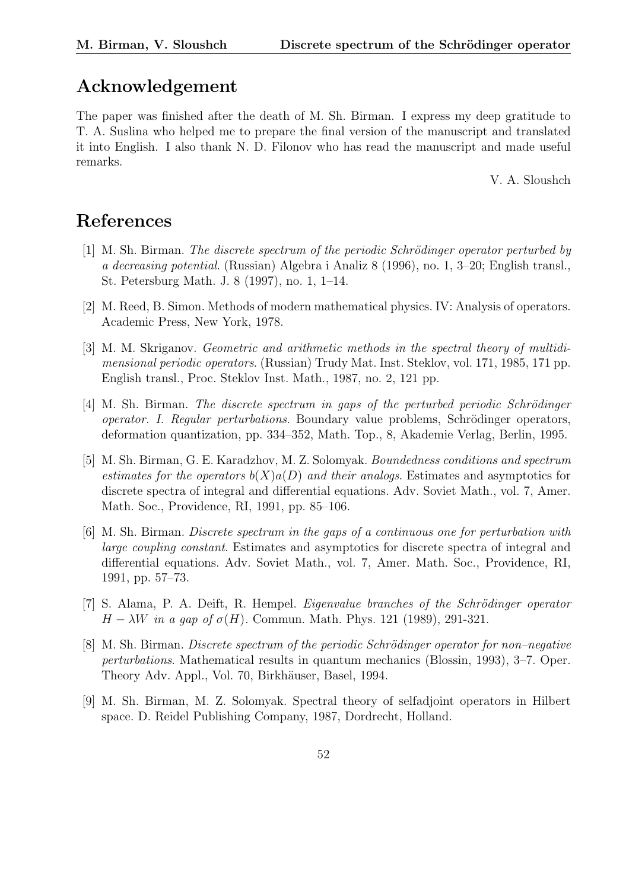# Acknowledgement

The paper was finished after the death of M. Sh. Birman. I express my deep gratitude to T. A. Suslina who helped me to prepare the final version of the manuscript and translated it into English. I also thank N. D. Filonov who has read the manuscript and made useful remarks.

V. A. Sloushch

# References

- $[1]$  M. Sh. Birman. The discrete spectrum of the periodic Schrödinger operator perturbed by a decreasing potential. (Russian) Algebra i Analiz 8 (1996), no. 1, 3–20; English transl., St. Petersburg Math. J. 8 (1997), no. 1, 1–14.
- [2] M. Reed, B. Simon. Methods of modern mathematical physics. IV: Analysis of operators. Academic Press, New York, 1978.
- [3] M. M. Skriganov. Geometric and arithmetic methods in the spectral theory of multidimensional periodic operators. (Russian) Trudy Mat. Inst. Steklov, vol. 171, 1985, 171 pp. English transl., Proc. Steklov Inst. Math., 1987, no. 2, 121 pp.
- $[4]$  M. Sh. Birman. The discrete spectrum in gaps of the perturbed periodic Schrödinger operator. I. Regular perturbations. Boundary value problems, Schrödinger operators, deformation quantization, pp. 334–352, Math. Top., 8, Akademie Verlag, Berlin, 1995.
- [5] M. Sh. Birman, G. E. Karadzhov, M. Z. Solomyak. Boundedness conditions and spectrum estimates for the operators  $b(X)a(D)$  and their analogs. Estimates and asymptotics for discrete spectra of integral and differential equations. Adv. Soviet Math., vol. 7, Amer. Math. Soc., Providence, RI, 1991, pp. 85–106.
- [6] M. Sh. Birman. Discrete spectrum in the gaps of a continuous one for perturbation with large coupling constant. Estimates and asymptotics for discrete spectra of integral and differential equations. Adv. Soviet Math., vol. 7, Amer. Math. Soc., Providence, RI, 1991, pp. 57–73.
- $[7]$  S. Alama, P. A. Deift, R. Hempel. *Eigenvalue branches of the Schrödinger operator*  $H - \lambda W$  in a gap of  $\sigma(H)$ . Commun. Math. Phys. 121 (1989), 291-321.
- [8] M. Sh. Birman. Discrete spectrum of the periodic Schrödinger operator for non-negative perturbations. Mathematical results in quantum mechanics (Blossin, 1993), 3–7. Oper. Theory Adv. Appl., Vol. 70, Birkhäuser, Basel, 1994.
- [9] M. Sh. Birman, M. Z. Solomyak. Spectral theory of selfadjoint operators in Hilbert space. D. Reidel Publishing Company, 1987, Dordrecht, Holland.